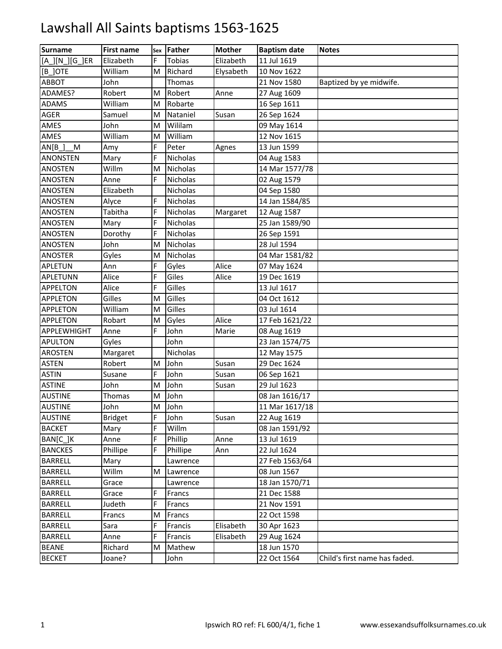| <b>Surname</b>     | <b>First name</b> | Sex | Father          | <b>Mother</b> | <b>Baptism date</b> | <b>Notes</b>                  |
|--------------------|-------------------|-----|-----------------|---------------|---------------------|-------------------------------|
| [A_][N_][G_]ER     | Elizabeth         | F   | Tobias          | Elizabeth     | 11 Jul 1619         |                               |
| [B ]OTE            | William           | M   | Richard         | Elysabeth     | 10 Nov 1622         |                               |
| ABBOT              | John              |     | Thomas          |               | 21 Nov 1580         | Baptized by ye midwife.       |
| ADAMES?            | Robert            | M   | Robert          | Anne          | 27 Aug 1609         |                               |
| <b>ADAMS</b>       | William           | M   | Robarte         |               | 16 Sep 1611         |                               |
| <b>AGER</b>        | Samuel            | M   | Nataniel        | Susan         | 26 Sep 1624         |                               |
| AMES               | John              | M   | Wililam         |               | 09 May 1614         |                               |
| AMES               | William           | м   | William         |               | 12 Nov 1615         |                               |
| AN[B]<br>${\sf M}$ | Amy               | F   | Peter           | Agnes         | 13 Jun 1599         |                               |
| <b>ANONSTEN</b>    | Mary              | F   | <b>Nicholas</b> |               | 04 Aug 1583         |                               |
| <b>ANOSTEN</b>     | Willm             | M   | Nicholas        |               | 14 Mar 1577/78      |                               |
| <b>ANOSTEN</b>     | Anne              | F.  | Nicholas        |               | 02 Aug 1579         |                               |
| <b>ANOSTEN</b>     | Elizabeth         |     | Nicholas        |               | 04 Sep 1580         |                               |
| ANOSTEN            | Alyce             | F   | <b>Nicholas</b> |               | 14 Jan 1584/85      |                               |
| <b>ANOSTEN</b>     | Tabitha           | F   | <b>Nicholas</b> | Margaret      | 12 Aug 1587         |                               |
| <b>ANOSTEN</b>     | Mary              | F   | Nicholas        |               | 25 Jan 1589/90      |                               |
| ANOSTEN            | Dorothy           | F   | Nicholas        |               | 26 Sep 1591         |                               |
| ANOSTEN            | John              | M   | Nicholas        |               | 28 Jul 1594         |                               |
| <b>ANOSTER</b>     | Gyles             | M   | Nicholas        |               | 04 Mar 1581/82      |                               |
| APLETUN            | Ann               |     | Gyles           | Alice         | 07 May 1624         |                               |
| APLETUNN           | Alice             | F   | Giles           | Alice         | 19 Dec 1619         |                               |
| APPELTON           | Alice             | F.  | Gilles          |               | 13 Jul 1617         |                               |
| <b>APPLETON</b>    | Gilles            | M   | Gilles          |               | 04 Oct 1612         |                               |
| <b>APPLETON</b>    | William           | M   | Gilles          |               | 03 Jul 1614         |                               |
| <b>APPLETON</b>    | Robart            | M   | Gyles           | Alice         | 17 Feb 1621/22      |                               |
| APPLEWHIGHT        | Anne              | F   | John            | Marie         | 08 Aug 1619         |                               |
| <b>APULTON</b>     | Gyles             |     | John            |               | 23 Jan 1574/75      |                               |
| <b>AROSTEN</b>     | Margaret          |     | Nicholas        |               | 12 May 1575         |                               |
| <b>ASTEN</b>       | Robert            | M   | John            | Susan         | 29 Dec 1624         |                               |
| <b>ASTIN</b>       | Susane            | F   | John            | Susan         | 06 Sep 1621         |                               |
| <b>ASTINE</b>      | John              | M   | John            | Susan         | 29 Jul 1623         |                               |
| <b>AUSTINE</b>     | Thomas            | M   | John            |               | 08 Jan 1616/17      |                               |
| <b>AUSTINE</b>     | John              | M   | John            |               | 11 Mar 1617/18      |                               |
| <b>AUSTINE</b>     | <b>Bridget</b>    | F   | John            | Susan         | 22 Aug 1619         |                               |
| <b>BACKET</b>      | Mary              | E   | Willm           |               | 08 Jan 1591/92      |                               |
| BAN[C_]K           | Anne              | F   | Phillip         | Anne          | 13 Jul 1619         |                               |
| <b>BANCKES</b>     | Phillipe          | F   | Phillipe        | Ann           | 22 Jul 1624         |                               |
| <b>BARRELL</b>     | Mary              |     | Lawrence        |               | 27 Feb 1563/64      |                               |
| <b>BARRELL</b>     | Willm             | M   | Lawrence        |               | 08 Jun 1567         |                               |
| <b>BARRELL</b>     | Grace             |     | Lawrence        |               | 18 Jan 1570/71      |                               |
| <b>BARRELL</b>     | Grace             | F.  | Francs          |               | 21 Dec 1588         |                               |
| <b>BARRELL</b>     | Judeth            | F   | Francs          |               | 21 Nov 1591         |                               |
| <b>BARRELL</b>     | Francs            | M   | Francs          |               | 22 Oct 1598         |                               |
| <b>BARRELL</b>     | Sara              | F   | Francis         | Elisabeth     | 30 Apr 1623         |                               |
| <b>BARRELL</b>     | Anne              | F   | Francis         | Elisabeth     | 29 Aug 1624         |                               |
| <b>BEANE</b>       | Richard           | M   | Mathew          |               | 18 Jun 1570         |                               |
| <b>BECKET</b>      | Joane?            |     | John            |               | 22 Oct 1564         | Child's first name has faded. |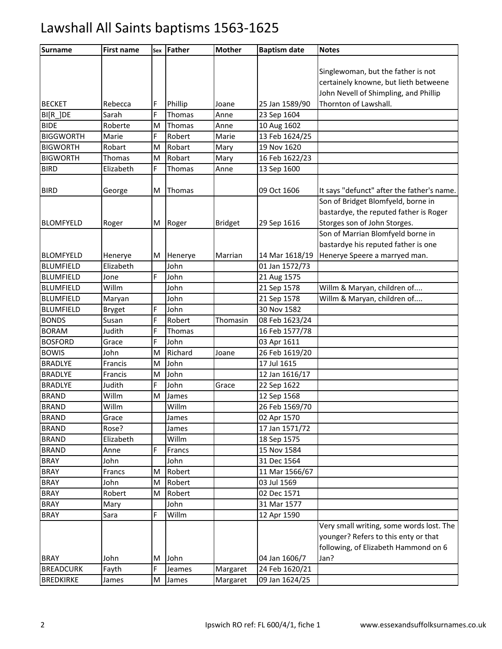| <b>Surname</b>   | <b>First name</b> | Sex | <b>Father</b> | <b>Mother</b>  | <b>Baptism date</b> | <b>Notes</b>                               |
|------------------|-------------------|-----|---------------|----------------|---------------------|--------------------------------------------|
|                  |                   |     |               |                |                     |                                            |
|                  |                   |     |               |                |                     | Singlewoman, but the father is not         |
|                  |                   |     |               |                |                     | certainely knowne, but lieth betweene      |
|                  |                   |     |               |                |                     | John Nevell of Shimpling, and Phillip      |
| <b>BECKET</b>    | Rebecca           | F   | Phillip       | Joane          | 25 Jan 1589/90      | Thornton of Lawshall.                      |
| BI[R_]DE         | Sarah             | F   | Thomas        | Anne           | 23 Sep 1604         |                                            |
| <b>BIDE</b>      | Roberte           | M   | Thomas        | Anne           | 10 Aug 1602         |                                            |
| <b>BIGGWORTH</b> | Marie             | F   | Robert        | Marie          | 13 Feb 1624/25      |                                            |
| <b>BIGWORTH</b>  | Robart            | M   | Robart        | Mary           | 19 Nov 1620         |                                            |
| <b>BIGWORTH</b>  | Thomas            | M   | Robart        | Mary           | 16 Feb 1622/23      |                                            |
| <b>BIRD</b>      | Elizabeth         | F   | Thomas        | Anne           | 13 Sep 1600         |                                            |
|                  |                   |     |               |                |                     |                                            |
| <b>BIRD</b>      | George            | M   | Thomas        |                | 09 Oct 1606         | It says "defunct" after the father's name. |
|                  |                   |     |               |                |                     | Son of Bridget Blomfyeld, borne in         |
|                  |                   |     |               |                |                     | bastardye, the reputed father is Roger     |
| <b>BLOMFYELD</b> | Roger             | M   | Roger         | <b>Bridget</b> | 29 Sep 1616         | Storges son of John Storges.               |
|                  |                   |     |               |                |                     | Son of Marrian Blomfyeld borne in          |
|                  |                   |     |               |                |                     | bastardye his reputed father is one        |
| <b>BLOMFYELD</b> | Henerye           | М   | Henerye       | Marrian        | 14 Mar 1618/19      | Henerye Speere a marryed man.              |
| <b>BLUMFIELD</b> | Elizabeth         |     | John          |                | 01 Jan 1572/73      |                                            |
| <b>BLUMFIELD</b> | Jone              | F   | John          |                | 21 Aug 1575         |                                            |
| <b>BLUMFIELD</b> | Willm             |     | John          |                | 21 Sep 1578         | Willm & Maryan, children of                |
| <b>BLUMFIELD</b> | Maryan            |     | John          |                | 21 Sep 1578         | Willm & Maryan, children of                |
| <b>BLUMFIELD</b> | <b>Bryget</b>     | F   | John          |                | 30 Nov 1582         |                                            |
| <b>BONDS</b>     | Susan             | F   | Robert        | Thomasin       | 08 Feb 1623/24      |                                            |
| <b>BORAM</b>     | Judith            | F   | Thomas        |                | 16 Feb 1577/78      |                                            |
| <b>BOSFORD</b>   | Grace             | F   | John          |                | 03 Apr 1611         |                                            |
| <b>BOWIS</b>     | John              | M   | Richard       | Joane          | 26 Feb 1619/20      |                                            |
| <b>BRADLYE</b>   | Francis           | M   | John          |                | 17 Jul 1615         |                                            |
| <b>BRADLYE</b>   | Francis           | M   | John          |                | 12 Jan 1616/17      |                                            |
| <b>BRADLYE</b>   | Judith            | F   | John          | Grace          | 22 Sep 1622         |                                            |
| <b>BRAND</b>     | Willm             | M   | James         |                | 12 Sep 1568         |                                            |
| <b>BRAND</b>     | Willm             |     | Willm         |                | 26 Feb 1569/70      |                                            |
| <b>BRAND</b>     | Grace             |     | James         |                | 02 Apr 1570         |                                            |
| <b>BRAND</b>     | Rose?             |     | James         |                | 17 Jan 1571/72      |                                            |
| <b>BRAND</b>     | Elizabeth         |     | Willm         |                | 18 Sep 1575         |                                            |
| <b>BRAND</b>     | Anne              | F   | Francs        |                | 15 Nov 1584         |                                            |
| <b>BRAY</b>      | John              |     | John          |                | 31 Dec 1564         |                                            |
| <b>BRAY</b>      | Francs            | M   | Robert        |                | 11 Mar 1566/67      |                                            |
| <b>BRAY</b>      | John              | M   | Robert        |                | 03 Jul 1569         |                                            |
| <b>BRAY</b>      | Robert            | М   | Robert        |                | 02 Dec 1571         |                                            |
| <b>BRAY</b>      | Mary              |     | John          |                | 31 Mar 1577         |                                            |
| <b>BRAY</b>      | Sara              | F   | Willm         |                | 12 Apr 1590         |                                            |
|                  |                   |     |               |                |                     | Very small writing, some words lost. The   |
|                  |                   |     |               |                |                     | younger? Refers to this enty or that       |
|                  |                   |     |               |                |                     | following, of Elizabeth Hammond on 6       |
| <b>BRAY</b>      | John              | М   | John          |                | 04 Jan 1606/7       | Jan?                                       |
| <b>BREADCURK</b> | Fayth             | F   | Jeames        | Margaret       | 24 Feb 1620/21      |                                            |
| <b>BREDKIRKE</b> | James             | M   | James         | Margaret       | 09 Jan 1624/25      |                                            |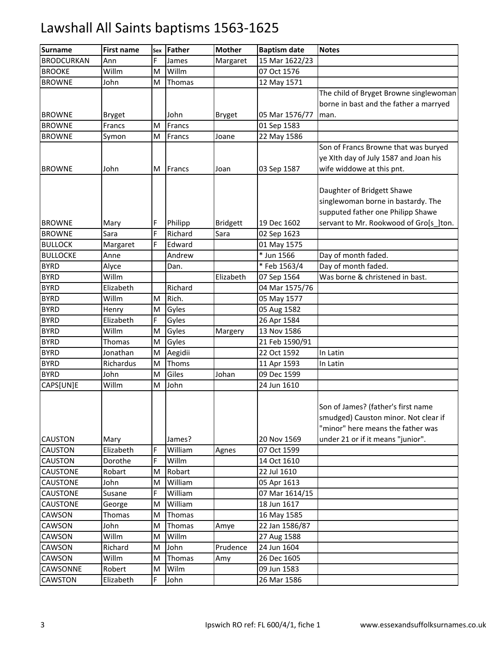| <b>Surname</b>    | <b>First name</b> | Sex | <b>Father</b> | <b>Mother</b>   | <b>Baptism date</b> | <b>Notes</b>                           |
|-------------------|-------------------|-----|---------------|-----------------|---------------------|----------------------------------------|
| <b>BRODCURKAN</b> | Ann               | F.  | James         | Margaret        | 15 Mar 1622/23      |                                        |
| <b>BROOKE</b>     | Willm             | M   | Willm         |                 | 07 Oct 1576         |                                        |
| <b>BROWNE</b>     | John              | M   | Thomas        |                 | 12 May 1571         |                                        |
|                   |                   |     |               |                 |                     | The child of Bryget Browne singlewoman |
|                   |                   |     |               |                 |                     | borne in bast and the father a marryed |
| <b>BROWNE</b>     | <b>Bryget</b>     |     | John          | <b>Bryget</b>   | 05 Mar 1576/77      | man.                                   |
| <b>BROWNE</b>     | Francs            | M   | Francs        |                 | 01 Sep 1583         |                                        |
| <b>BROWNE</b>     | Symon             | M   | Francs        | Joane           | 22 May 1586         |                                        |
|                   |                   |     |               |                 |                     | Son of Francs Browne that was buryed   |
|                   |                   |     |               |                 |                     | ye XIth day of July 1587 and Joan his  |
| <b>BROWNE</b>     | John              | M   | Francs        | Joan            | 03 Sep 1587         | wife widdowe at this pnt.              |
|                   |                   |     |               |                 |                     |                                        |
|                   |                   |     |               |                 |                     | Daughter of Bridgett Shawe             |
|                   |                   |     |               |                 |                     | singlewoman borne in bastardy. The     |
|                   |                   |     |               |                 |                     | supputed father one Philipp Shawe      |
| <b>BROWNE</b>     | Mary              | F   | Philipp       | <b>Bridgett</b> | 19 Dec 1602         | servant to Mr. Rookwood of Gro[s ]ton. |
| <b>BROWNE</b>     | Sara              | Ë   | Richard       | Sara            | 02 Sep 1623         |                                        |
| <b>BULLOCK</b>    | Margaret          | F   | Edward        |                 | 01 May 1575         |                                        |
| <b>BULLOCKE</b>   | Anne              |     | Andrew        |                 | * Jun 1566          | Day of month faded.                    |
| <b>BYRD</b>       | Alyce             |     | Dan.          |                 | * Feb 1563/4        | Day of month faded.                    |
| <b>BYRD</b>       | Willm             |     |               | Elizabeth       | 07 Sep 1564         | Was borne & christened in bast.        |
| <b>BYRD</b>       | Elizabeth         |     | Richard       |                 | 04 Mar 1575/76      |                                        |
| <b>BYRD</b>       | Willm             | M   | Rich.         |                 | 05 May 1577         |                                        |
| <b>BYRD</b>       | Henry             | M   | Gyles         |                 | 05 Aug 1582         |                                        |
| <b>BYRD</b>       | Elizabeth         | F   | Gyles         |                 | 26 Apr 1584         |                                        |
| <b>BYRD</b>       | Willm             | M   | Gyles         | Margery         | 13 Nov 1586         |                                        |
| <b>BYRD</b>       | Thomas            | M   | Gyles         |                 | 21 Feb 1590/91      |                                        |
| <b>BYRD</b>       | Jonathan          | M   | Aegidii       |                 | 22 Oct 1592         | In Latin                               |
| <b>BYRD</b>       | Richardus         | M   | Thoms         |                 | 11 Apr 1593         | In Latin                               |
| <b>BYRD</b>       | John              | M   | Giles         | Johan           | 09 Dec 1599         |                                        |
| CAPS[UN]E         | Willm             | M   | John          |                 | 24 Jun 1610         |                                        |
|                   |                   |     |               |                 |                     |                                        |
|                   |                   |     |               |                 |                     | Son of James? (father's first name     |
|                   |                   |     |               |                 |                     | smudged) Causton minor. Not clear if   |
|                   |                   |     |               |                 |                     | "minor" here means the father was      |
| <b>CAUSTON</b>    | Mary              |     | James?        |                 | 20 Nov 1569         | under 21 or if it means "junior".      |
| <b>CAUSTON</b>    | Elizabeth         | F   | William       | Agnes           | 07 Oct 1599         |                                        |
| <b>CAUSTON</b>    | Dorothe           | F   | Willm         |                 | 14 Oct 1610         |                                        |
| <b>CAUSTONE</b>   | Robart            | M   | Robart        |                 | 22 Jul 1610         |                                        |
| <b>CAUSTONE</b>   | John              | M   | William       |                 | 05 Apr 1613         |                                        |
| <b>CAUSTONE</b>   | Susane            | F   | William       |                 | 07 Mar 1614/15      |                                        |
| <b>CAUSTONE</b>   | George            | M   | William       |                 | 18 Jun 1617         |                                        |
| CAWSON            | Thomas            | м   | Thomas        |                 | 16 May 1585         |                                        |
| CAWSON            | John              | Μ   | Thomas        | Amye            | 22 Jan 1586/87      |                                        |
| CAWSON            | Willm             | M   | Willm         |                 | 27 Aug 1588         |                                        |
| CAWSON            | Richard           | M   | John          | Prudence        | 24 Jun 1604         |                                        |
| CAWSON            | Willm             | M   | Thomas        | Amy             | 26 Dec 1605         |                                        |
| CAWSONNE          | Robert            | M   | Wilm          |                 | 09 Jun 1583         |                                        |
| CAWSTON           | Elizabeth         | F.  | John          |                 | 26 Mar 1586         |                                        |
|                   |                   |     |               |                 |                     |                                        |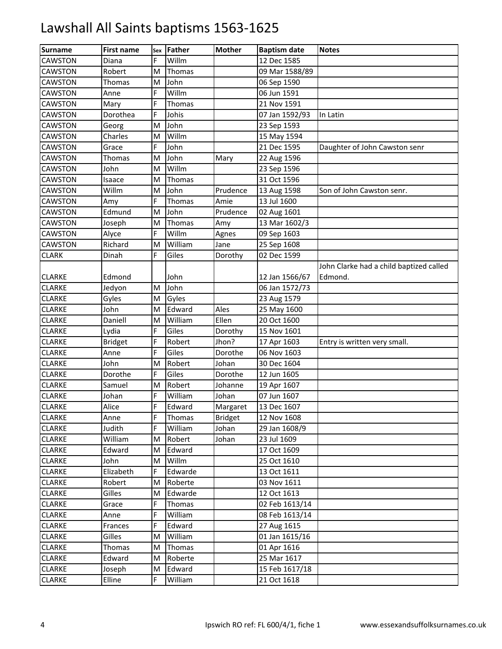| <b>Surname</b> | <b>First name</b> | Sex | Father  | <b>Mother</b>  | <b>Baptism date</b> | <b>Notes</b>                            |
|----------------|-------------------|-----|---------|----------------|---------------------|-----------------------------------------|
| CAWSTON        | Diana             | F   | Willm   |                | 12 Dec 1585         |                                         |
| CAWSTON        | Robert            | M   | Thomas  |                | 09 Mar 1588/89      |                                         |
| <b>CAWSTON</b> | Thomas            | M   | John    |                | 06 Sep 1590         |                                         |
| <b>CAWSTON</b> | Anne              | F   | Willm   |                | 06 Jun 1591         |                                         |
| <b>CAWSTON</b> | Mary              | Ë   | Thomas  |                | 21 Nov 1591         |                                         |
| <b>CAWSTON</b> | Dorothea          | F   | Johis   |                | 07 Jan 1592/93      | In Latin                                |
| CAWSTON        | Georg             | M   | John    |                | 23 Sep 1593         |                                         |
| <b>CAWSTON</b> | Charles           | M   | Willm   |                | 15 May 1594         |                                         |
| <b>CAWSTON</b> | Grace             | F   | John    |                | 21 Dec 1595         | Daughter of John Cawston senr           |
| CAWSTON        | Thomas            | M   | John    | Mary           | 22 Aug 1596         |                                         |
| <b>CAWSTON</b> | John              | M   | Willm   |                | 23 Sep 1596         |                                         |
| CAWSTON        | Isaace            | M   | Thomas  |                | 31 Oct 1596         |                                         |
| <b>CAWSTON</b> | Willm             | M   | John    | Prudence       | 13 Aug 1598         | Son of John Cawston senr.               |
| <b>CAWSTON</b> | Amy               | F   | Thomas  | Amie           | 13 Jul 1600         |                                         |
| <b>CAWSTON</b> | Edmund            | M   | John    | Prudence       | 02 Aug 1601         |                                         |
| <b>CAWSTON</b> | Joseph            | M   | Thomas  | Amy            | 13 Mar 1602/3       |                                         |
| <b>CAWSTON</b> | Alyce             | F.  | Willm   | Agnes          | 09 Sep 1603         |                                         |
| <b>CAWSTON</b> | Richard           | M   | William | Jane           | 25 Sep 1608         |                                         |
| <b>CLARK</b>   | Dinah             | F   | Giles   | Dorothy        | 02 Dec 1599         |                                         |
|                |                   |     |         |                |                     | John Clarke had a child baptized called |
| <b>CLARKE</b>  | Edmond            |     | John    |                | 12 Jan 1566/67      | Edmond.                                 |
| <b>CLARKE</b>  | Jedyon            | M   | John    |                | 06 Jan 1572/73      |                                         |
| <b>CLARKE</b>  | Gyles             | M   | Gyles   |                | 23 Aug 1579         |                                         |
| <b>CLARKE</b>  | John              | M   | Edward  | Ales           | 25 May 1600         |                                         |
| <b>CLARKE</b>  | Daniell           | M   | William | Ellen          | 20 Oct 1600         |                                         |
| <b>CLARKE</b>  | Lydia             | F   | Giles   | Dorothy        | 15 Nov 1601         |                                         |
| <b>CLARKE</b>  | <b>Bridget</b>    | F.  | Robert  | Jhon?          | 17 Apr 1603         | Entry is written very small.            |
| <b>CLARKE</b>  | Anne              | F   | Giles   | Dorothe        | 06 Nov 1603         |                                         |
| <b>CLARKE</b>  | John              | M   | Robert  | Johan          | 30 Dec 1604         |                                         |
| <b>CLARKE</b>  | Dorothe           | F   | Giles   | Dorothe        | 12 Jun 1605         |                                         |
| <b>CLARKE</b>  | Samuel            | M   | Robert  | Johanne        | 19 Apr 1607         |                                         |
| <b>CLARKE</b>  | Johan             | F   | William | Johan          | 07 Jun 1607         |                                         |
| <b>CLARKE</b>  | Alice             | F.  | Edward  | Margaret       | 13 Dec 1607         |                                         |
| <b>CLARKE</b>  | Anne              | F   | Thomas  | <b>Bridget</b> | 12 Nov 1608         |                                         |
| <b>CLARKE</b>  | Judith            | F   | William | Johan          | 29 Jan 1608/9       |                                         |
| <b>CLARKE</b>  | William           | М   | Robert  | Johan          | 23 Jul 1609         |                                         |
| <b>CLARKE</b>  | Edward            | M   | Edward  |                | 17 Oct 1609         |                                         |
| <b>CLARKE</b>  | John              | M   | Willm   |                | 25 Oct 1610         |                                         |
| <b>CLARKE</b>  | Elizabeth         | F.  | Edwarde |                | 13 Oct 1611         |                                         |
| <b>CLARKE</b>  | Robert            | M   | Roberte |                | 03 Nov 1611         |                                         |
| <b>CLARKE</b>  | Gilles            | Μ   | Edwarde |                | 12 Oct 1613         |                                         |
| <b>CLARKE</b>  | Grace             | F.  | Thomas  |                | 02 Feb 1613/14      |                                         |
| <b>CLARKE</b>  | Anne              | F.  | William |                | 08 Feb 1613/14      |                                         |
| <b>CLARKE</b>  | Frances           | F.  | Edward  |                | 27 Aug 1615         |                                         |
| <b>CLARKE</b>  | Gilles            | м   | William |                | 01 Jan 1615/16      |                                         |
| <b>CLARKE</b>  | Thomas            | M   | Thomas  |                | 01 Apr 1616         |                                         |
| <b>CLARKE</b>  | Edward            | M   | Roberte |                | 25 Mar 1617         |                                         |
| <b>CLARKE</b>  | Joseph            | M   | Edward  |                | 15 Feb 1617/18      |                                         |
| <b>CLARKE</b>  | Elline            | E.  | William |                | 21 Oct 1618         |                                         |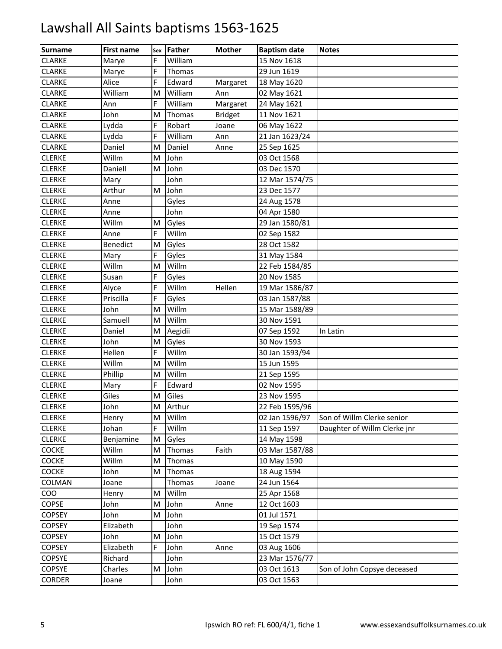| <b>Surname</b> | <b>First name</b> | Sex | <b>Father</b> | <b>Mother</b>  | <b>Baptism date</b> | <b>Notes</b>                 |
|----------------|-------------------|-----|---------------|----------------|---------------------|------------------------------|
| <b>CLARKE</b>  | Marye             | F   | William       |                | 15 Nov 1618         |                              |
| <b>CLARKE</b>  | Marye             | F   | Thomas        |                | 29 Jun 1619         |                              |
| <b>CLARKE</b>  | Alice             | F   | Edward        | Margaret       | 18 May 1620         |                              |
| <b>CLARKE</b>  | William           | M   | William       | Ann            | 02 May 1621         |                              |
| <b>CLARKE</b>  | Ann               | F   | William       | Margaret       | 24 May 1621         |                              |
| <b>CLARKE</b>  | John              | M   | Thomas        | <b>Bridget</b> | 11 Nov 1621         |                              |
| <b>CLARKE</b>  | Lydda             | F   | Robart        | Joane          | 06 May 1622         |                              |
| <b>CLARKE</b>  | Lydda             | F   | William       | Ann            | 21 Jan 1623/24      |                              |
| <b>CLARKE</b>  | Daniel            | M   | Daniel        | Anne           | 25 Sep 1625         |                              |
| <b>CLERKE</b>  | Willm             | M   | John          |                | 03 Oct 1568         |                              |
| <b>CLERKE</b>  | Daniell           | M   | John          |                | 03 Dec 1570         |                              |
| <b>CLERKE</b>  | Mary              |     | John          |                | 12 Mar 1574/75      |                              |
| <b>CLERKE</b>  | Arthur            | M   | John          |                | 23 Dec 1577         |                              |
| <b>CLERKE</b>  | Anne              |     | Gyles         |                | 24 Aug 1578         |                              |
| <b>CLERKE</b>  | Anne              |     | John          |                | 04 Apr 1580         |                              |
| <b>CLERKE</b>  | Willm             | M   | Gyles         |                | 29 Jan 1580/81      |                              |
| <b>CLERKE</b>  | Anne              | F   | Willm         |                | 02 Sep 1582         |                              |
| <b>CLERKE</b>  | Benedict          | M   | Gyles         |                | 28 Oct 1582         |                              |
| <b>CLERKE</b>  | Mary              | F   | Gyles         |                | 31 May 1584         |                              |
| <b>CLERKE</b>  | Willm             | M   | Willm         |                | 22 Feb 1584/85      |                              |
| <b>CLERKE</b>  | Susan             | F   | Gyles         |                | 20 Nov 1585         |                              |
| <b>CLERKE</b>  | Alyce             | F   | Willm         | Hellen         | 19 Mar 1586/87      |                              |
| <b>CLERKE</b>  | Priscilla         | F   | Gyles         |                | 03 Jan 1587/88      |                              |
| <b>CLERKE</b>  | John              | M   | Willm         |                | 15 Mar 1588/89      |                              |
| <b>CLERKE</b>  | Samuell           | M   | Willm         |                | 30 Nov 1591         |                              |
| <b>CLERKE</b>  | Daniel            | M   | Aegidii       |                | 07 Sep 1592         | In Latin                     |
| <b>CLERKE</b>  | John              | M   | Gyles         |                | 30 Nov 1593         |                              |
| <b>CLERKE</b>  | Hellen            | F   | Willm         |                | 30 Jan 1593/94      |                              |
| <b>CLERKE</b>  | Willm             | M   | Willm         |                | 15 Jun 1595         |                              |
| <b>CLERKE</b>  | Phillip           | M   | Willm         |                | 21 Sep 1595         |                              |
| <b>CLERKE</b>  | Mary              | F   | Edward        |                | 02 Nov 1595         |                              |
| <b>CLERKE</b>  | Giles             | M   | Giles         |                | 23 Nov 1595         |                              |
| <b>CLERKE</b>  | John              | M   | Arthur        |                | 22 Feb 1595/96      |                              |
| <b>CLERKE</b>  | Henry             | M   | Willm         |                | 02 Jan 1596/97      | Son of Willm Clerke senior   |
| <b>CLERKE</b>  | Johan             | F   | Willm         |                | 11 Sep 1597         | Daughter of Willm Clerke jnr |
| <b>CLERKE</b>  | Benjamine         | M   | Gyles         |                | 14 May 1598         |                              |
| <b>COCKE</b>   | Willm             | M   | Thomas        | Faith          | 03 Mar 1587/88      |                              |
| COCKE          | Willm             | M   | Thomas        |                | 10 May 1590         |                              |
| COCKE          | John              | M   | Thomas        |                | 18 Aug 1594         |                              |
| COLMAN         | Joane             |     | Thomas        | Joane          | 24 Jun 1564         |                              |
| <b>COO</b>     | Henry             | M   | Willm         |                | 25 Apr 1568         |                              |
| <b>COPSE</b>   | John              | M   | John          | Anne           | 12 Oct 1603         |                              |
| <b>COPSEY</b>  | John              | M   | John          |                | 01 Jul 1571         |                              |
| <b>COPSEY</b>  | Elizabeth         |     | John          |                | 19 Sep 1574         |                              |
| <b>COPSEY</b>  | John              | M   | John          |                | 15 Oct 1579         |                              |
| <b>COPSEY</b>  | Elizabeth         | F   | John          | Anne           | 03 Aug 1606         |                              |
| <b>COPSYE</b>  | Richard           |     | John          |                | 23 Mar 1576/77      |                              |
| COPSYE         | Charles           | M   | John          |                | 03 Oct 1613         | Son of John Copsye deceased  |
| <b>CORDER</b>  | Joane             |     | John          |                | 03 Oct 1563         |                              |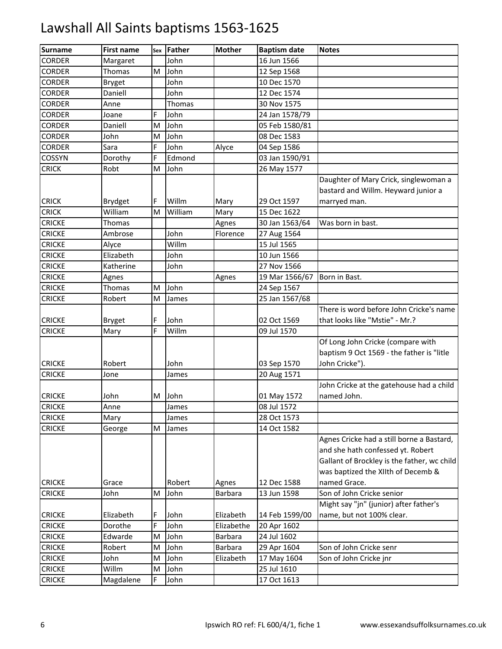| <b>Surname</b> | <b>First name</b> | Sex | <b>Father</b> | <b>Mother</b>  | <b>Baptism date</b> | <b>Notes</b>                                                                                                                                                        |
|----------------|-------------------|-----|---------------|----------------|---------------------|---------------------------------------------------------------------------------------------------------------------------------------------------------------------|
| <b>CORDER</b>  | Margaret          |     | John          |                | 16 Jun 1566         |                                                                                                                                                                     |
| <b>CORDER</b>  | Thomas            | M   | John          |                | 12 Sep 1568         |                                                                                                                                                                     |
| <b>CORDER</b>  | <b>Bryget</b>     |     | John          |                | 10 Dec 1570         |                                                                                                                                                                     |
| <b>CORDER</b>  | Daniell           |     | John          |                | 12 Dec 1574         |                                                                                                                                                                     |
| <b>CORDER</b>  | Anne              |     | Thomas        |                | 30 Nov 1575         |                                                                                                                                                                     |
| <b>CORDER</b>  | Joane             | F   | John          |                | 24 Jan 1578/79      |                                                                                                                                                                     |
| <b>CORDER</b>  | Daniell           | M   | John          |                | 05 Feb 1580/81      |                                                                                                                                                                     |
| <b>CORDER</b>  | John              | M   | John          |                | 08 Dec 1583         |                                                                                                                                                                     |
| <b>CORDER</b>  | Sara              | F   | John          | Alyce          | 04 Sep 1586         |                                                                                                                                                                     |
| COSSYN         | Dorothy           | F   | Edmond        |                | 03 Jan 1590/91      |                                                                                                                                                                     |
| <b>CRICK</b>   | Robt              | M   | John          |                | 26 May 1577         |                                                                                                                                                                     |
| <b>CRICK</b>   | Brydget           | F   | Willm         | Mary           | 29 Oct 1597         | Daughter of Mary Crick, singlewoman a<br>bastard and Willm. Heyward junior a<br>marryed man.                                                                        |
| <b>CRICK</b>   | William           | M   | William       | Mary           | 15 Dec 1622         |                                                                                                                                                                     |
| <b>CRICKE</b>  | Thomas            |     |               | Agnes          | 30 Jan 1563/64      | Was born in bast.                                                                                                                                                   |
| <b>CRICKE</b>  | Ambrose           |     | John          | Florence       | 27 Aug 1564         |                                                                                                                                                                     |
| <b>CRICKE</b>  | Alyce             |     | Willm         |                | 15 Jul 1565         |                                                                                                                                                                     |
| <b>CRICKE</b>  | Elizabeth         |     | John          |                | 10 Jun 1566         |                                                                                                                                                                     |
| <b>CRICKE</b>  | Katherine         |     | John          |                | 27 Nov 1566         |                                                                                                                                                                     |
| <b>CRICKE</b>  | Agnes             |     |               | Agnes          | 19 Mar 1566/67      | Born in Bast.                                                                                                                                                       |
| <b>CRICKE</b>  | Thomas            | M   | John          |                | 24 Sep 1567         |                                                                                                                                                                     |
| <b>CRICKE</b>  | Robert            | M   | James         |                | 25 Jan 1567/68      |                                                                                                                                                                     |
|                |                   |     |               |                |                     | There is word before John Cricke's name                                                                                                                             |
| <b>CRICKE</b>  | <b>Bryget</b>     | F   | John          |                | 02 Oct 1569         | that looks like "Mstie" - Mr.?                                                                                                                                      |
| <b>CRICKE</b>  | Mary              | F   | Willm         |                | 09 Jul 1570         |                                                                                                                                                                     |
|                |                   |     |               |                |                     | Of Long John Cricke (compare with<br>baptism 9 Oct 1569 - the father is "litle                                                                                      |
| <b>CRICKE</b>  | Robert            |     | John          |                | 03 Sep 1570         | John Cricke").                                                                                                                                                      |
| <b>CRICKE</b>  | Jone              |     | James         |                | 20 Aug 1571         |                                                                                                                                                                     |
| <b>CRICKE</b>  | John              | M   | John          |                | 01 May 1572         | John Cricke at the gatehouse had a child<br>named John.                                                                                                             |
| <b>CRICKE</b>  | Anne              |     | James         |                | 08 Jul 1572         |                                                                                                                                                                     |
| <b>CRICKE</b>  | Mary              |     | James         |                | 28 Oct 1573         |                                                                                                                                                                     |
| <b>CRICKE</b>  | George            | M   | James         |                | 14 Oct 1582         |                                                                                                                                                                     |
|                |                   |     |               |                |                     | Agnes Cricke had a still borne a Bastard,<br>and she hath confessed yt. Robert<br>Gallant of Brockley is the father, wc child<br>was baptized the XIIth of Decemb & |
| <b>CRICKE</b>  | Grace             |     | Robert        | Agnes          | 12 Dec 1588         | named Grace.                                                                                                                                                        |
| <b>CRICKE</b>  | John              | M   | John          | <b>Barbara</b> | 13 Jun 1598         | Son of John Cricke senior                                                                                                                                           |
| <b>CRICKE</b>  | Elizabeth         | F   | John          | Elizabeth      | 14 Feb 1599/00      | Might say "jn" (junior) after father's<br>name, but not 100% clear.                                                                                                 |
| <b>CRICKE</b>  | Dorothe           | F   | John          | Elizabethe     | 20 Apr 1602         |                                                                                                                                                                     |
| <b>CRICKE</b>  | Edwarde           | M   | John          | <b>Barbara</b> | 24 Jul 1602         |                                                                                                                                                                     |
| <b>CRICKE</b>  | Robert            | M   | John          | <b>Barbara</b> | 29 Apr 1604         | Son of John Cricke senr                                                                                                                                             |
| <b>CRICKE</b>  | John              | M   | John          | Elizabeth      | 17 May 1604         | Son of John Cricke jnr                                                                                                                                              |
| <b>CRICKE</b>  | Willm             | M   | John          |                | 25 Jul 1610         |                                                                                                                                                                     |
| <b>CRICKE</b>  | Magdalene         | F   | John          |                | 17 Oct 1613         |                                                                                                                                                                     |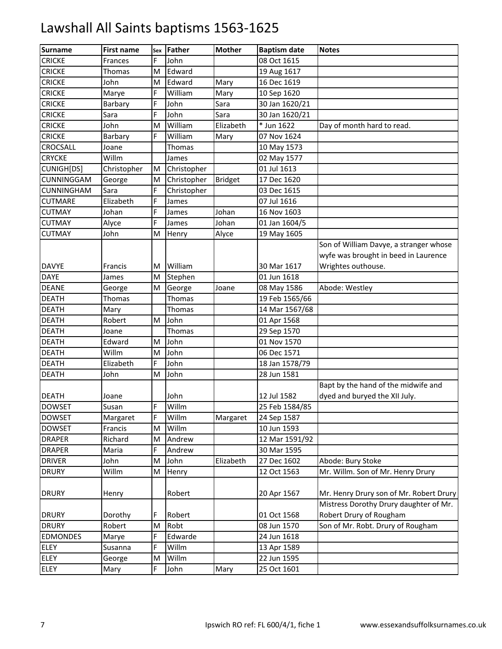| <b>Surname</b>    | <b>First name</b> | Sex | <b>Father</b> | <b>Mother</b>  | <b>Baptism date</b> | <b>Notes</b>                            |
|-------------------|-------------------|-----|---------------|----------------|---------------------|-----------------------------------------|
| <b>CRICKE</b>     | Frances           | F   | John          |                | 08 Oct 1615         |                                         |
| <b>CRICKE</b>     | Thomas            | M   | Edward        |                | 19 Aug 1617         |                                         |
| <b>CRICKE</b>     | John              | M   | Edward        | Mary           | 16 Dec 1619         |                                         |
| <b>CRICKE</b>     | Marye             | F   | William       | Mary           | 10 Sep 1620         |                                         |
| <b>CRICKE</b>     | Barbary           | F   | John          | Sara           | 30 Jan 1620/21      |                                         |
| <b>CRICKE</b>     | Sara              | F   | John          | Sara           | 30 Jan 1620/21      |                                         |
| <b>CRICKE</b>     | John              | M   | William       | Elizabeth      | * Jun 1622          | Day of month hard to read.              |
| <b>CRICKE</b>     | Barbary           | E.  | William       | Mary           | 07 Nov 1624         |                                         |
| CROCSALL          | Joane             |     | Thomas        |                | 10 May 1573         |                                         |
| <b>CRYCKE</b>     | Willm             |     | James         |                | 02 May 1577         |                                         |
| CUNIGH[DS]        | Christopher       | M   | Christopher   |                | 01 Jul 1613         |                                         |
| CUNNINGGAM        | George            | M   | Christopher   | <b>Bridget</b> | 17 Dec 1620         |                                         |
| <b>CUNNINGHAM</b> | Sara              | E.  | Christopher   |                | 03 Dec 1615         |                                         |
| <b>CUTMARE</b>    | Elizabeth         | F   | James         |                | 07 Jul 1616         |                                         |
| <b>CUTMAY</b>     | Johan             | F   | James         | Johan          | 16 Nov 1603         |                                         |
| <b>CUTMAY</b>     | Alyce             | F   | James         | Johan          | 01 Jan 1604/5       |                                         |
| <b>CUTMAY</b>     | John              | M   | Henry         | Alyce          | 19 May 1605         |                                         |
|                   |                   |     |               |                |                     | Son of William Davye, a stranger whose  |
|                   |                   |     |               |                |                     | wyfe was brought in beed in Laurence    |
| <b>DAVYE</b>      | Francis           | м   | William       |                | 30 Mar 1617         | Wrightes outhouse.                      |
| <b>DAYE</b>       | James             | M   | Stephen       |                | 01 Jun 1618         |                                         |
| <b>DEANE</b>      | George            | Μ   | George        | Joane          | 08 May 1586         | Abode: Westley                          |
| <b>DEATH</b>      | Thomas            |     | Thomas        |                | 19 Feb 1565/66      |                                         |
| <b>DEATH</b>      | Mary              |     | Thomas        |                | 14 Mar 1567/68      |                                         |
| <b>DEATH</b>      | Robert            | M   | John          |                | 01 Apr 1568         |                                         |
| <b>DEATH</b>      | Joane             |     | Thomas        |                | 29 Sep 1570         |                                         |
| <b>DEATH</b>      | Edward            | M   | John          |                | 01 Nov 1570         |                                         |
| <b>DEATH</b>      | Willm             | M   | John          |                | 06 Dec 1571         |                                         |
| <b>DEATH</b>      | Elizabeth         | F   | John          |                | 18 Jan 1578/79      |                                         |
| <b>DEATH</b>      | John              | M   | John          |                | 28 Jun 1581         |                                         |
|                   |                   |     |               |                |                     | Bapt by the hand of the midwife and     |
| <b>DEATH</b>      | Joane             |     | John          |                | 12 Jul 1582         | dyed and buryed the XII July.           |
| <b>DOWSET</b>     | Susan             | E.  | Willm         |                | 25 Feb 1584/85      |                                         |
| <b>DOWSET</b>     | Margaret          | F   | Willm         | Margaret       | 24 Sep 1587         |                                         |
| <b>DOWSET</b>     | Francis           | M   | Willm         |                | 10 Jun 1593         |                                         |
| <b>DRAPER</b>     | Richard           | M   | Andrew        |                | 12 Mar 1591/92      |                                         |
| <b>DRAPER</b>     | Maria             | F   | Andrew        |                | 30 Mar 1595         |                                         |
| <b>DRIVER</b>     | John              | M   | John          | Elizabeth      | 27 Dec 1602         | Abode: Bury Stoke                       |
| <b>DRURY</b>      | Willm             | Μ   | Henry         |                | 12 Oct 1563         | Mr. Willm. Son of Mr. Henry Drury       |
|                   |                   |     |               |                |                     |                                         |
| <b>DRURY</b>      | Henry             |     | Robert        |                | 20 Apr 1567         | Mr. Henry Drury son of Mr. Robert Drury |
|                   |                   |     |               |                |                     | Mistress Dorothy Drury daughter of Mr.  |
| <b>DRURY</b>      | Dorothy           | F.  | Robert        |                | 01 Oct 1568         | Robert Drury of Rougham                 |
| <b>DRURY</b>      | Robert            | M   | Robt          |                | 08 Jun 1570         | Son of Mr. Robt. Drury of Rougham       |
| <b>EDMONDES</b>   | Marye             | F   | Edwarde       |                | 24 Jun 1618         |                                         |
| ELEY              | Susanna           | F   | Willm         |                | 13 Apr 1589         |                                         |
| ELEY              | George            | M   | Willm         |                | 22 Jun 1595         |                                         |
| <b>ELEY</b>       | Mary              | F.  | John          | Mary           | 25 Oct 1601         |                                         |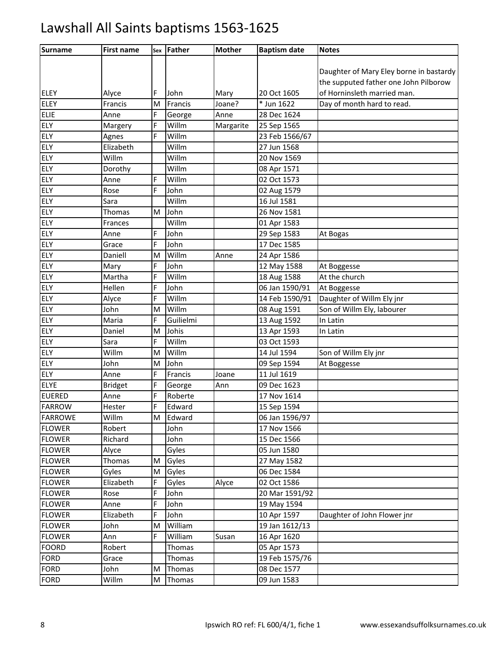| <b>Surname</b> | <b>First name</b> | Sex | <b>Father</b> | <b>Mother</b> | <b>Baptism date</b> | <b>Notes</b>                            |
|----------------|-------------------|-----|---------------|---------------|---------------------|-----------------------------------------|
|                |                   |     |               |               |                     |                                         |
|                |                   |     |               |               |                     | Daughter of Mary Eley borne in bastardy |
|                |                   |     |               |               |                     | the supputed father one John Pilborow   |
| <b>ELEY</b>    | Alyce             | F   | John          | Mary          | 20 Oct 1605         | of Horninsleth married man.             |
| <b>ELEY</b>    | Francis           | M   | Francis       | Joane?        | * Jun 1622          | Day of month hard to read.              |
| ELIE           | Anne              | F   | George        | Anne          | 28 Dec 1624         |                                         |
| ELY            | Margery           | F   | Willm         | Margarite     | 25 Sep 1565         |                                         |
| ELY            | Agnes             | F   | Willm         |               | 23 Feb 1566/67      |                                         |
| <b>ELY</b>     | Elizabeth         |     | Willm         |               | 27 Jun 1568         |                                         |
| ELY            | Willm             |     | Willm         |               | 20 Nov 1569         |                                         |
| ELY            | Dorothy           |     | Willm         |               | 08 Apr 1571         |                                         |
| ELY            | Anne              | F   | Willm         |               | 02 Oct 1573         |                                         |
| ELY            | Rose              | F   | John          |               | 02 Aug 1579         |                                         |
| ELY            | Sara              |     | Willm         |               | 16 Jul 1581         |                                         |
| ELY            | Thomas            | M   | John          |               | 26 Nov 1581         |                                         |
| ELY            | Frances           |     | Willm         |               | 01 Apr 1583         |                                         |
| ELY            | Anne              | F   | John          |               | 29 Sep 1583         | At Bogas                                |
| <b>ELY</b>     | Grace             | F   | John          |               | 17 Dec 1585         |                                         |
| ELY            | Daniell           | M   | Willm         | Anne          | 24 Apr 1586         |                                         |
| ELY            | Mary              | F   | John          |               | 12 May 1588         | At Boggesse                             |
| ELY            | Martha            | F   | Willm         |               | 18 Aug 1588         | At the church                           |
| ELY            | Hellen            | F   | John          |               | 06 Jan 1590/91      | At Boggesse                             |
| ELY            | Alyce             | F   | Willm         |               | 14 Feb 1590/91      | Daughter of Willm Ely jnr               |
| ELY            | John              | M   | Willm         |               | 08 Aug 1591         | Son of Willm Ely, labourer              |
| ELY            | Maria             | F   | Guilielmi     |               | 13 Aug 1592         | In Latin                                |
| ELY            | Daniel            | M   | Johis         |               | 13 Apr 1593         | In Latin                                |
| ELY            | Sara              | F   | Willm         |               | 03 Oct 1593         |                                         |
| ELY            | Willm             | M   | Willm         |               | 14 Jul 1594         | Son of Willm Ely jnr                    |
| ELY            | John              | M   | John          |               | 09 Sep 1594         | At Boggesse                             |
| ELY            | Anne              | F   | Francis       | Joane         | 11 Jul 1619         |                                         |
| ELYE           | <b>Bridget</b>    | F   | George        | Ann           | 09 Dec 1623         |                                         |
| <b>EUERED</b>  | Anne              | F   | Roberte       |               | 17 Nov 1614         |                                         |
| <b>FARROW</b>  | Hester            | F   | Edward        |               | 15 Sep 1594         |                                         |
| <b>FARROWE</b> | Willm             | M   | Edward        |               | 06 Jan 1596/97      |                                         |
| <b>FLOWER</b>  | Robert            |     | John          |               | 17 Nov 1566         |                                         |
| <b>FLOWER</b>  | Richard           |     | John          |               | 15 Dec 1566         |                                         |
| <b>FLOWER</b>  | Alyce             |     | Gyles         |               | 05 Jun 1580         |                                         |
| <b>FLOWER</b>  | <b>Thomas</b>     | M   | Gyles         |               | 27 May 1582         |                                         |
| <b>FLOWER</b>  | Gyles             | M   | Gyles         |               | 06 Dec 1584         |                                         |
| <b>FLOWER</b>  | Elizabeth         | F   | Gyles         | Alyce         | 02 Oct 1586         |                                         |
| <b>FLOWER</b>  | Rose              | F   | John          |               | 20 Mar 1591/92      |                                         |
| <b>FLOWER</b>  | Anne              | F   | John          |               | 19 May 1594         |                                         |
| <b>FLOWER</b>  | Elizabeth         | F   | John          |               | 10 Apr 1597         | Daughter of John Flower jnr             |
| <b>FLOWER</b>  | John              | M   | William       |               | 19 Jan 1612/13      |                                         |
| <b>FLOWER</b>  | Ann               | F   | William       | Susan         | 16 Apr 1620         |                                         |
| <b>FOORD</b>   | Robert            |     | Thomas        |               | 05 Apr 1573         |                                         |
| <b>FORD</b>    | Grace             |     | Thomas        |               | 19 Feb 1575/76      |                                         |
| <b>FORD</b>    | John              | M   | Thomas        |               | 08 Dec 1577         |                                         |
| <b>FORD</b>    | Willm             | M   | Thomas        |               | 09 Jun 1583         |                                         |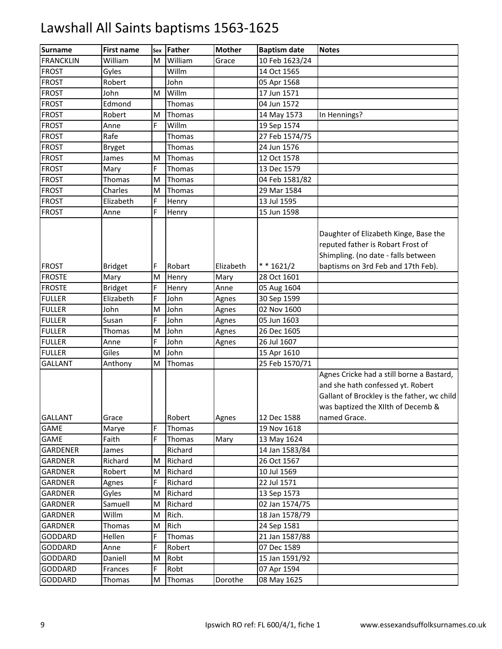| <b>Surname</b>   | First name     | Sex | <b>Father</b> | <b>Mother</b> | <b>Baptism date</b> | <b>Notes</b>                                                                                                                                                                        |
|------------------|----------------|-----|---------------|---------------|---------------------|-------------------------------------------------------------------------------------------------------------------------------------------------------------------------------------|
| <b>FRANCKLIN</b> | William        | м   | William       | Grace         | 10 Feb 1623/24      |                                                                                                                                                                                     |
| <b>FROST</b>     | Gyles          |     | Willm         |               | 14 Oct 1565         |                                                                                                                                                                                     |
| <b>FROST</b>     | Robert         |     | John          |               | 05 Apr 1568         |                                                                                                                                                                                     |
| <b>FROST</b>     | John           | M   | Willm         |               | 17 Jun 1571         |                                                                                                                                                                                     |
| <b>FROST</b>     | Edmond         |     | Thomas        |               | 04 Jun 1572         |                                                                                                                                                                                     |
| <b>FROST</b>     | Robert         | M   | Thomas        |               | 14 May 1573         | In Hennings?                                                                                                                                                                        |
| <b>FROST</b>     | Anne           | F   | Willm         |               | 19 Sep 1574         |                                                                                                                                                                                     |
| <b>FROST</b>     | Rafe           |     | Thomas        |               | 27 Feb 1574/75      |                                                                                                                                                                                     |
| <b>FROST</b>     | <b>Bryget</b>  |     | Thomas        |               | 24 Jun 1576         |                                                                                                                                                                                     |
| <b>FROST</b>     | James          | M   | Thomas        |               | 12 Oct 1578         |                                                                                                                                                                                     |
| <b>FROST</b>     | Mary           | F   | Thomas        |               | 13 Dec 1579         |                                                                                                                                                                                     |
| <b>FROST</b>     | Thomas         | M   | Thomas        |               | 04 Feb 1581/82      |                                                                                                                                                                                     |
| <b>FROST</b>     | Charles        | M   | Thomas        |               | 29 Mar 1584         |                                                                                                                                                                                     |
| <b>FROST</b>     | Elizabeth      | F   | Henry         |               | 13 Jul 1595         |                                                                                                                                                                                     |
| <b>FROST</b>     | Anne           | F   | Henry         |               | 15 Jun 1598         |                                                                                                                                                                                     |
| <b>FROST</b>     | <b>Bridget</b> | F   | Robart        | Elizabeth     | $* * 1621/2$        | Daughter of Elizabeth Kinge, Base the<br>reputed father is Robart Frost of<br>Shimpling. (no date - falls between<br>baptisms on 3rd Feb and 17th Feb).                             |
| <b>FROSTE</b>    | Mary           | M   | Henry         | Mary          | 28 Oct 1601         |                                                                                                                                                                                     |
| <b>FROSTE</b>    | <b>Bridget</b> | F   | Henry         | Anne          | 05 Aug 1604         |                                                                                                                                                                                     |
| <b>FULLER</b>    | Elizabeth      | F   | John          | Agnes         | 30 Sep 1599         |                                                                                                                                                                                     |
| <b>FULLER</b>    | John           | M   | John          | Agnes         | 02 Nov 1600         |                                                                                                                                                                                     |
| <b>FULLER</b>    | Susan          | F   | John          | Agnes         | 05 Jun 1603         |                                                                                                                                                                                     |
| <b>FULLER</b>    | Thomas         | M   | John          | Agnes         | 26 Dec 1605         |                                                                                                                                                                                     |
| <b>FULLER</b>    | Anne           | F   | John          | Agnes         | 26 Jul 1607         |                                                                                                                                                                                     |
| <b>FULLER</b>    | Giles          | M   | John          |               | 15 Apr 1610         |                                                                                                                                                                                     |
| <b>GALLANT</b>   | Anthony        | M   | Thomas        |               | 25 Feb 1570/71      |                                                                                                                                                                                     |
| <b>GALLANT</b>   | Grace          |     | Robert        | Agnes         | 12 Dec 1588         | Agnes Cricke had a still borne a Bastard,<br>and she hath confessed yt. Robert<br>Gallant of Brockley is the father, wc child<br>was baptized the XIIth of Decemb &<br>named Grace. |
| <b>GAME</b>      | Marye          | F   | Thomas        |               | 19 Nov 1618         |                                                                                                                                                                                     |
| GAME             | Faith          | F   | Thomas        | Mary          | 13 May 1624         |                                                                                                                                                                                     |
| <b>GARDENER</b>  | James          |     | Richard       |               | 14 Jan 1583/84      |                                                                                                                                                                                     |
| <b>GARDNER</b>   | Richard        | M   | Richard       |               | 26 Oct 1567         |                                                                                                                                                                                     |
| <b>GARDNER</b>   | Robert         | M   | Richard       |               | 10 Jul 1569         |                                                                                                                                                                                     |
| <b>GARDNER</b>   | Agnes          | F   | Richard       |               | 22 Jul 1571         |                                                                                                                                                                                     |
| <b>GARDNER</b>   | Gyles          | M   | Richard       |               | 13 Sep 1573         |                                                                                                                                                                                     |
| <b>GARDNER</b>   | Samuell        | M   | Richard       |               | 02 Jan 1574/75      |                                                                                                                                                                                     |
| <b>GARDNER</b>   | Willm          | M   | Rich.         |               | 18 Jan 1578/79      |                                                                                                                                                                                     |
| GARDNER          | Thomas         | M   | Rich          |               | 24 Sep 1581         |                                                                                                                                                                                     |
| GODDARD          | Hellen         | F   | Thomas        |               | 21 Jan 1587/88      |                                                                                                                                                                                     |
| <b>GODDARD</b>   | Anne           | F   | Robert        |               | 07 Dec 1589         |                                                                                                                                                                                     |
| GODDARD          | Daniell        | M   | Robt          |               | 15 Jan 1591/92      |                                                                                                                                                                                     |
| GODDARD          | Frances        | F   | Robt          |               | 07 Apr 1594         |                                                                                                                                                                                     |
| <b>GODDARD</b>   | Thomas         | M   | Thomas        | Dorothe       | 08 May 1625         |                                                                                                                                                                                     |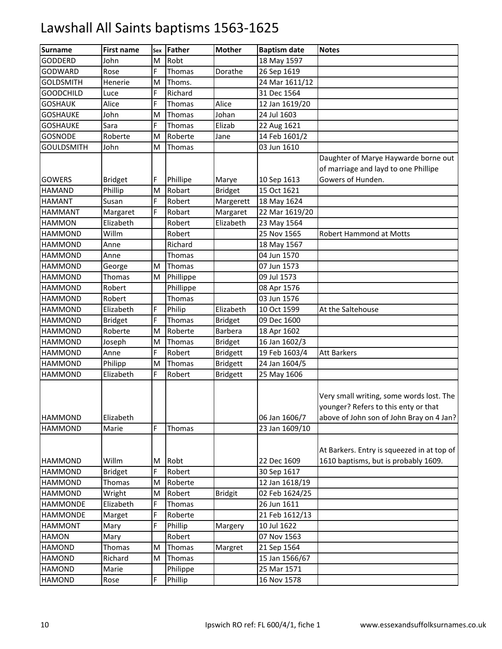| <b>Surname</b>    | <b>First name</b> | Sex | <b>Father</b> | <b>Mother</b>   | <b>Baptism date</b> | <b>Notes</b>                                                                                                                 |
|-------------------|-------------------|-----|---------------|-----------------|---------------------|------------------------------------------------------------------------------------------------------------------------------|
| <b>GODDERD</b>    | John              | M   | Robt          |                 | 18 May 1597         |                                                                                                                              |
| <b>GODWARD</b>    | Rose              | F.  | Thomas        | Dorathe         | 26 Sep 1619         |                                                                                                                              |
| <b>GOLDSMITH</b>  | Henerie           | M   | Thoms.        |                 | 24 Mar 1611/12      |                                                                                                                              |
| <b>GOODCHILD</b>  | Luce              | F   | Richard       |                 | 31 Dec 1564         |                                                                                                                              |
| <b>GOSHAUK</b>    | Alice             | Ë   | Thomas        | Alice           | 12 Jan 1619/20      |                                                                                                                              |
| <b>GOSHAUKE</b>   | John              | M   | Thomas        | Johan           | 24 Jul 1603         |                                                                                                                              |
| <b>GOSHAUKE</b>   | Sara              | F.  | Thomas        | Elizab          | 22 Aug 1621         |                                                                                                                              |
| <b>GOSNODE</b>    | Roberte           | M   | Roberte       | Jane            | 14 Feb 1601/2       |                                                                                                                              |
| <b>GOULDSMITH</b> | John              | M   | Thomas        |                 | 03 Jun 1610         |                                                                                                                              |
|                   |                   |     |               |                 |                     | Daughter of Marye Haywarde borne out                                                                                         |
|                   |                   |     |               |                 |                     | of marriage and layd to one Phillipe                                                                                         |
| <b>GOWERS</b>     | <b>Bridget</b>    | F.  | Phillipe      | Marye           | 10 Sep 1613         | Gowers of Hunden.                                                                                                            |
| <b>HAMAND</b>     | Phillip           | M   | Robart        | <b>Bridget</b>  | 15 Oct 1621         |                                                                                                                              |
| <b>HAMANT</b>     | Susan             | F   | Robert        | Margerett       | 18 May 1624         |                                                                                                                              |
| <b>HAMMANT</b>    | Margaret          | F   | Robart        | Margaret        | 22 Mar 1619/20      |                                                                                                                              |
| <b>HAMMON</b>     | Elizabeth         |     | Robert        | Elizabeth       | 23 May 1564         |                                                                                                                              |
| <b>HAMMOND</b>    | Willm             |     | Robert        |                 | 25 Nov 1565         | Robert Hammond at Motts                                                                                                      |
| <b>HAMMOND</b>    | Anne              |     | Richard       |                 | 18 May 1567         |                                                                                                                              |
| <b>HAMMOND</b>    | Anne              |     | Thomas        |                 | 04 Jun 1570         |                                                                                                                              |
| <b>HAMMOND</b>    | George            | M   | Thomas        |                 | 07 Jun 1573         |                                                                                                                              |
| <b>HAMMOND</b>    | Thomas            | M   | Phillippe     |                 | 09 Jul 1573         |                                                                                                                              |
| <b>HAMMOND</b>    | Robert            |     | Phillippe     |                 | 08 Apr 1576         |                                                                                                                              |
| <b>HAMMOND</b>    | Robert            |     | Thomas        |                 | 03 Jun 1576         |                                                                                                                              |
| <b>HAMMOND</b>    | Elizabeth         | F   | Philip        | Elizabeth       | 10 Oct 1599         | At the Saltehouse                                                                                                            |
| <b>HAMMOND</b>    | <b>Bridget</b>    | F   | Thomas        | <b>Bridget</b>  | 09 Dec 1600         |                                                                                                                              |
| <b>HAMMOND</b>    | Roberte           | M   | Roberte       | Barbera         | 18 Apr 1602         |                                                                                                                              |
| <b>HAMMOND</b>    | Joseph            | M   | Thomas        | <b>Bridget</b>  | 16 Jan 1602/3       |                                                                                                                              |
| <b>HAMMOND</b>    | Anne              | E.  | Robert        | <b>Bridgett</b> | 19 Feb 1603/4       | <b>Att Barkers</b>                                                                                                           |
| <b>HAMMOND</b>    | Philipp           | M   | Thomas        | <b>Bridgett</b> | 24 Jan 1604/5       |                                                                                                                              |
| <b>HAMMOND</b>    | Elizabeth         | F   | Robert        | <b>Bridgett</b> | 25 May 1606         |                                                                                                                              |
| <b>HAMMOND</b>    | Elizabeth         |     |               |                 | 06 Jan 1606/7       | Very small writing, some words lost. The<br>younger? Refers to this enty or that<br>above of John son of John Bray on 4 Jan? |
| <b>HAMMOND</b>    | Marie             | F   | Thomas        |                 | 23 Jan 1609/10      |                                                                                                                              |
| <b>HAMMOND</b>    | Willm             | Μ   | Robt          |                 | 22 Dec 1609         | At Barkers. Entry is squeezed in at top of<br>1610 baptisms, but is probably 1609.                                           |
| <b>HAMMOND</b>    | <b>Bridget</b>    | F   | Robert        |                 | 30 Sep 1617         |                                                                                                                              |
| <b>HAMMOND</b>    | Thomas            | M   | Roberte       |                 | 12 Jan 1618/19      |                                                                                                                              |
| <b>HAMMOND</b>    | Wright            | M   | Robert        | <b>Bridgit</b>  | 02 Feb 1624/25      |                                                                                                                              |
| <b>HAMMONDE</b>   | Elizabeth         | F   | Thomas        |                 | 26 Jun 1611         |                                                                                                                              |
| <b>HAMMONDE</b>   | Marget            | F   | Roberte       |                 | 21 Feb 1612/13      |                                                                                                                              |
| <b>HAMMONT</b>    | Mary              | F   | Phillip       | Margery         | 10 Jul 1622         |                                                                                                                              |
| <b>HAMON</b>      | Mary              |     | Robert        |                 | 07 Nov 1563         |                                                                                                                              |
| <b>HAMOND</b>     | Thomas            | M   | Thomas        | Margret         | 21 Sep 1564         |                                                                                                                              |
| <b>HAMOND</b>     | Richard           | Μ   | Thomas        |                 | 15 Jan 1566/67      |                                                                                                                              |
| <b>HAMOND</b>     | Marie             |     | Philippe      |                 | 25 Mar 1571         |                                                                                                                              |
| <b>HAMOND</b>     | Rose              | F   | Phillip       |                 | 16 Nov 1578         |                                                                                                                              |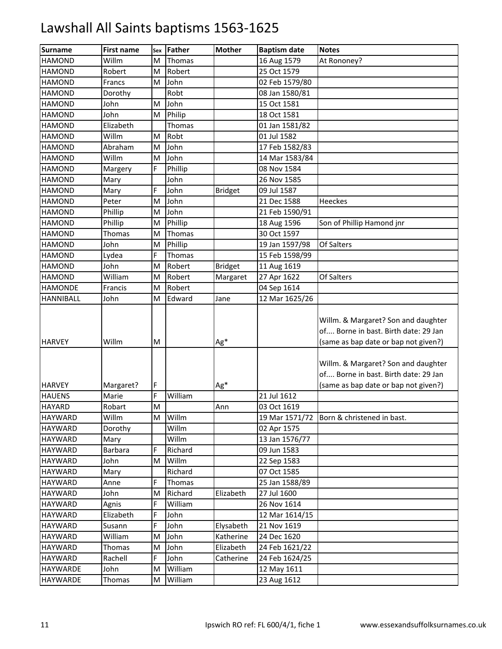| <b>Surname</b>   | <b>First name</b> | Sex | Father  | <b>Mother</b>  | <b>Baptism date</b> | <b>Notes</b>                                                                                                        |
|------------------|-------------------|-----|---------|----------------|---------------------|---------------------------------------------------------------------------------------------------------------------|
| <b>HAMOND</b>    | Willm             | м   | Thomas  |                | 16 Aug 1579         | At Rononey?                                                                                                         |
| <b>HAMOND</b>    | Robert            | M   | Robert  |                | 25 Oct 1579         |                                                                                                                     |
| <b>HAMOND</b>    | Francs            | M   | John    |                | 02 Feb 1579/80      |                                                                                                                     |
| <b>HAMOND</b>    | Dorothy           |     | Robt    |                | 08 Jan 1580/81      |                                                                                                                     |
| <b>HAMOND</b>    | John              | M   | John    |                | 15 Oct 1581         |                                                                                                                     |
| <b>HAMOND</b>    | John              | M   | Philip  |                | 18 Oct 1581         |                                                                                                                     |
| <b>HAMOND</b>    | Elizabeth         |     | Thomas  |                | 01 Jan 1581/82      |                                                                                                                     |
| <b>HAMOND</b>    | Willm             | м   | Robt    |                | 01 Jul 1582         |                                                                                                                     |
| <b>HAMOND</b>    | Abraham           | M   | John    |                | 17 Feb 1582/83      |                                                                                                                     |
| <b>HAMOND</b>    | Willm             | M   | John    |                | 14 Mar 1583/84      |                                                                                                                     |
| <b>HAMOND</b>    | Margery           | F   | Phillip |                | 08 Nov 1584         |                                                                                                                     |
| <b>HAMOND</b>    | Mary              |     | John    |                | 26 Nov 1585         |                                                                                                                     |
| <b>HAMOND</b>    | Mary              | F   | John    | <b>Bridget</b> | 09 Jul 1587         |                                                                                                                     |
| <b>HAMOND</b>    | Peter             | M   | John    |                | 21 Dec 1588         | <b>Heeckes</b>                                                                                                      |
| <b>HAMOND</b>    | Phillip           | M   | John    |                | 21 Feb 1590/91      |                                                                                                                     |
| <b>HAMOND</b>    | Phillip           | M   | Phillip |                | 18 Aug 1596         | Son of Phillip Hamond jnr                                                                                           |
| <b>HAMOND</b>    | Thomas            | M   | Thomas  |                | 30 Oct 1597         |                                                                                                                     |
| <b>HAMOND</b>    | John              | M   | Phillip |                | 19 Jan 1597/98      | Of Salters                                                                                                          |
| <b>HAMOND</b>    | Lydea             | F   | Thomas  |                | 15 Feb 1598/99      |                                                                                                                     |
| <b>HAMOND</b>    | John              | M   | Robert  | <b>Bridget</b> | 11 Aug 1619         |                                                                                                                     |
| <b>HAMOND</b>    | William           | M   | Robert  | Margaret       | 27 Apr 1622         | Of Salters                                                                                                          |
| <b>HAMONDE</b>   | Francis           | M   | Robert  |                | 04 Sep 1614         |                                                                                                                     |
| <b>HANNIBALL</b> | John              | M   | Edward  | Jane           | 12 Mar 1625/26      |                                                                                                                     |
| <b>HARVEY</b>    | Willm             | М   |         | Ag*            |                     | Willm. & Margaret? Son and daughter<br>of Borne in bast. Birth date: 29 Jan<br>(same as bap date or bap not given?) |
| <b>HARVEY</b>    | Margaret?         | F   |         | Ag*            |                     | Willm. & Margaret? Son and daughter<br>of Borne in bast. Birth date: 29 Jan<br>(same as bap date or bap not given?) |
| <b>HAUENS</b>    | Marie             | F   | William |                | 21 Jul 1612         |                                                                                                                     |
| <b>HAYARD</b>    | Robart            | M   |         | Ann            | 03 Oct 1619         |                                                                                                                     |
| <b>HAYWARD</b>   | Willm             | M   | Willm   |                | 19 Mar 1571/72      | Born & christened in bast.                                                                                          |
| <b>HAYWARD</b>   | Dorothy           |     | Willm   |                | 02 Apr 1575         |                                                                                                                     |
| <b>HAYWARD</b>   | Mary              |     | Willm   |                | 13 Jan 1576/77      |                                                                                                                     |
| <b>HAYWARD</b>   | Barbara           | F   | Richard |                | 09 Jun 1583         |                                                                                                                     |
| <b>HAYWARD</b>   | John              | M   | Willm   |                | 22 Sep 1583         |                                                                                                                     |
| <b>HAYWARD</b>   | Mary              |     | Richard |                | 07 Oct 1585         |                                                                                                                     |
| <b>HAYWARD</b>   | Anne              | F   | Thomas  |                | 25 Jan 1588/89      |                                                                                                                     |
| <b>HAYWARD</b>   | John              | M   | Richard | Elizabeth      | 27 Jul 1600         |                                                                                                                     |
| <b>HAYWARD</b>   | Agnis             | F   | William |                | 26 Nov 1614         |                                                                                                                     |
| <b>HAYWARD</b>   | Elizabeth         | F   | John    |                | 12 Mar 1614/15      |                                                                                                                     |
| <b>HAYWARD</b>   | Susann            | F   | John    | Elysabeth      | 21 Nov 1619         |                                                                                                                     |
| <b>HAYWARD</b>   | William           | M   | John    | Katherine      | 24 Dec 1620         |                                                                                                                     |
| <b>HAYWARD</b>   | Thomas            | M   | John    | Elizabeth      | 24 Feb 1621/22      |                                                                                                                     |
| <b>HAYWARD</b>   | Rachell           | F   | John    | Catherine      | 24 Feb 1624/25      |                                                                                                                     |
| <b>HAYWARDE</b>  | John              | M   | William |                | 12 May 1611         |                                                                                                                     |
| <b>HAYWARDE</b>  | Thomas            | M   | William |                | 23 Aug 1612         |                                                                                                                     |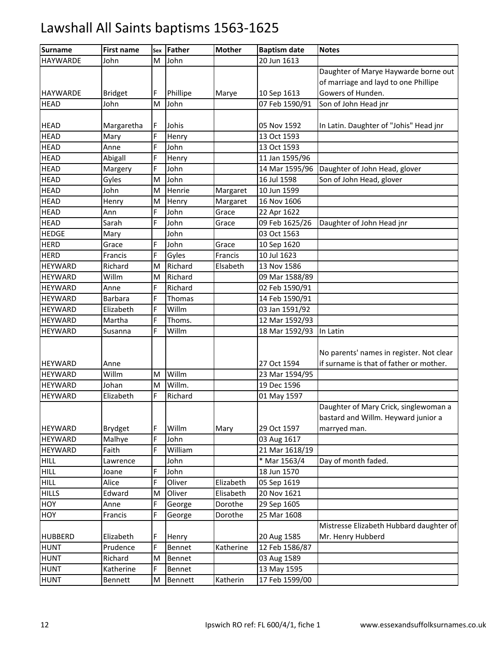| <b>Surname</b>  | <b>First name</b> | Sex | Father   | <b>Mother</b> | <b>Baptism date</b> | <b>Notes</b>                             |
|-----------------|-------------------|-----|----------|---------------|---------------------|------------------------------------------|
| <b>HAYWARDE</b> | John              | M   | John     |               | 20 Jun 1613         |                                          |
|                 |                   |     |          |               |                     | Daughter of Marye Haywarde borne out     |
|                 |                   |     |          |               |                     | of marriage and layd to one Phillipe     |
| <b>HAYWARDE</b> | <b>Bridget</b>    | F   | Phillipe | Marye         | 10 Sep 1613         | Gowers of Hunden.                        |
| <b>HEAD</b>     | John              | M   | John     |               | 07 Feb 1590/91      | Son of John Head jnr                     |
|                 |                   |     |          |               |                     |                                          |
| <b>HEAD</b>     | Margaretha        | F   | Johis    |               | 05 Nov 1592         | In Latin. Daughter of "Johis" Head jnr   |
| <b>HEAD</b>     | Mary              | F   | Henry    |               | 13 Oct 1593         |                                          |
| <b>HEAD</b>     | Anne              | F   | John     |               | 13 Oct 1593         |                                          |
| <b>HEAD</b>     | Abigall           | E.  | Henry    |               | 11 Jan 1595/96      |                                          |
| <b>HEAD</b>     | Margery           | F   | John     |               | 14 Mar 1595/96      | Daughter of John Head, glover            |
| <b>HEAD</b>     | Gyles             | M   | John     |               | 16 Jul 1598         | Son of John Head, glover                 |
| <b>HEAD</b>     | John              | M   | Henrie   | Margaret      | 10 Jun 1599         |                                          |
| <b>HEAD</b>     | Henry             | M   | Henry    | Margaret      | 16 Nov 1606         |                                          |
| <b>HEAD</b>     | Ann               | F   | John     | Grace         | 22 Apr 1622         |                                          |
| <b>HEAD</b>     | Sarah             | F   | John     | Grace         | 09 Feb 1625/26      | Daughter of John Head jnr                |
| <b>HEDGE</b>    | Mary              |     | John     |               | 03 Oct 1563         |                                          |
| <b>HERD</b>     | Grace             | F   | John     | Grace         | 10 Sep 1620         |                                          |
| <b>HERD</b>     | Francis           | F   | Gyles    | Francis       | 10 Jul 1623         |                                          |
| <b>HEYWARD</b>  | Richard           | M   | Richard  | Elsabeth      | 13 Nov 1586         |                                          |
| <b>HEYWARD</b>  | Willm             | M   | Richard  |               | 09 Mar 1588/89      |                                          |
| <b>HEYWARD</b>  | Anne              | F   | Richard  |               | 02 Feb 1590/91      |                                          |
| <b>HEYWARD</b>  | Barbara           | F   | Thomas   |               | 14 Feb 1590/91      |                                          |
| <b>HEYWARD</b>  | Elizabeth         | F.  | Willm    |               | 03 Jan 1591/92      |                                          |
| <b>HEYWARD</b>  | Martha            | F   | Thoms.   |               | 12 Mar 1592/93      |                                          |
| <b>HEYWARD</b>  | Susanna           | F   | Willm    |               | 18 Mar 1592/93      | In Latin                                 |
|                 |                   |     |          |               |                     |                                          |
|                 |                   |     |          |               |                     | No parents' names in register. Not clear |
| <b>HEYWARD</b>  | Anne              |     |          |               | 27 Oct 1594         | if surname is that of father or mother.  |
| <b>HEYWARD</b>  | Willm             | M   | Willm    |               | 23 Mar 1594/95      |                                          |
| <b>HEYWARD</b>  | Johan             | M   | Willm.   |               | 19 Dec 1596         |                                          |
| <b>HEYWARD</b>  | Elizabeth         | F   | Richard  |               | 01 May 1597         |                                          |
|                 |                   |     |          |               |                     | Daughter of Mary Crick, singlewoman a    |
|                 |                   |     |          |               |                     | bastard and Willm. Heyward junior a      |
| <b>HEYWARD</b>  | <b>Brydget</b>    | F   | Willm    | Mary          | 29 Oct 1597         | marryed man.                             |
| <b>HEYWARD</b>  | Malhye            | F   | John     |               | 03 Aug 1617         |                                          |
| <b>HEYWARD</b>  | Faith             | F   | William  |               | 21 Mar 1618/19      |                                          |
| <b>HILL</b>     | Lawrence          |     | John     |               | * Mar 1563/4        | Day of month faded.                      |
| <b>HILL</b>     | Joane             | F   | John     |               | 18 Jun 1570         |                                          |
| <b>HILL</b>     | Alice             | F   | Oliver   | Elizabeth     | 05 Sep 1619         |                                          |
| <b>HILLS</b>    | Edward            | M   | Oliver   | Elisabeth     | 20 Nov 1621         |                                          |
| HOY             | Anne              | F   | George   | Dorothe       | 29 Sep 1605         |                                          |
| HOY             | Francis           | F   | George   | Dorothe       | 25 Mar 1608         |                                          |
|                 |                   |     |          |               |                     | Mistresse Elizabeth Hubbard daughter of  |
| <b>HUBBERD</b>  | Elizabeth         | F   | Henry    |               | 20 Aug 1585         | Mr. Henry Hubberd                        |
| <b>HUNT</b>     | Prudence          | F   | Bennet   | Katherine     | 12 Feb 1586/87      |                                          |
| <b>HUNT</b>     | Richard           | M   | Bennet   |               | 03 Aug 1589         |                                          |
| <b>HUNT</b>     | Katherine         | F   | Bennet   |               | 13 May 1595         |                                          |
| <b>HUNT</b>     | Bennett           | M   | Bennett  | Katherin      | 17 Feb 1599/00      |                                          |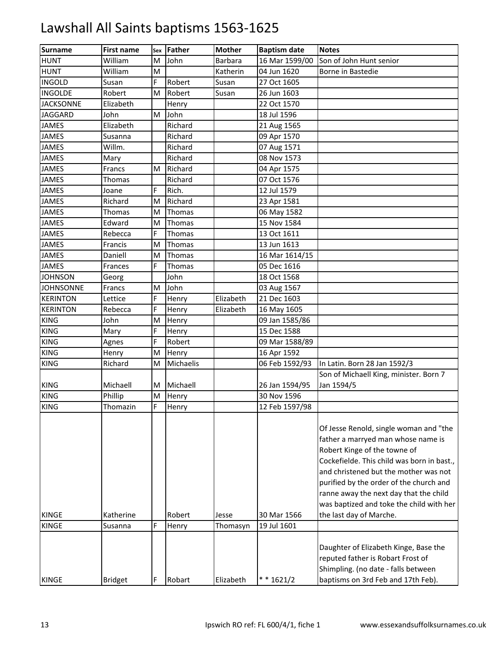| <b>Surname</b>   | <b>First name</b> | Sex | Father    | <b>Mother</b> | <b>Baptism date</b> | <b>Notes</b>                                                                                                                                                                                                                                                                                                                         |
|------------------|-------------------|-----|-----------|---------------|---------------------|--------------------------------------------------------------------------------------------------------------------------------------------------------------------------------------------------------------------------------------------------------------------------------------------------------------------------------------|
| <b>HUNT</b>      | William           | M   | John      | Barbara       | 16 Mar 1599/00      | Son of John Hunt senior                                                                                                                                                                                                                                                                                                              |
| <b>HUNT</b>      | William           | M   |           | Katherin      | 04 Jun 1620         | Borne in Bastedie                                                                                                                                                                                                                                                                                                                    |
| <b>INGOLD</b>    | Susan             | F.  | Robert    | Susan         | 27 Oct 1605         |                                                                                                                                                                                                                                                                                                                                      |
| <b>INGOLDE</b>   | Robert            | M   | Robert    | Susan         | 26 Jun 1603         |                                                                                                                                                                                                                                                                                                                                      |
| <b>JACKSONNE</b> | Elizabeth         |     | Henry     |               | 22 Oct 1570         |                                                                                                                                                                                                                                                                                                                                      |
| <b>JAGGARD</b>   | John              | M   | John      |               | 18 Jul 1596         |                                                                                                                                                                                                                                                                                                                                      |
| <b>JAMES</b>     | Elizabeth         |     | Richard   |               | 21 Aug 1565         |                                                                                                                                                                                                                                                                                                                                      |
| <b>JAMES</b>     | Susanna           |     | Richard   |               | 09 Apr 1570         |                                                                                                                                                                                                                                                                                                                                      |
| <b>JAMES</b>     | Willm.            |     | Richard   |               | 07 Aug 1571         |                                                                                                                                                                                                                                                                                                                                      |
| <b>JAMES</b>     | Mary              |     | Richard   |               | 08 Nov 1573         |                                                                                                                                                                                                                                                                                                                                      |
| <b>JAMES</b>     | Francs            | M   | Richard   |               | 04 Apr 1575         |                                                                                                                                                                                                                                                                                                                                      |
| <b>JAMES</b>     | Thomas            |     | Richard   |               | 07 Oct 1576         |                                                                                                                                                                                                                                                                                                                                      |
| <b>JAMES</b>     | Joane             | E.  | Rich.     |               | 12 Jul 1579         |                                                                                                                                                                                                                                                                                                                                      |
| <b>JAMES</b>     | Richard           | M   | Richard   |               | 23 Apr 1581         |                                                                                                                                                                                                                                                                                                                                      |
| <b>JAMES</b>     | Thomas            | M   | Thomas    |               | 06 May 1582         |                                                                                                                                                                                                                                                                                                                                      |
| <b>JAMES</b>     | Edward            | M   | Thomas    |               | 15 Nov 1584         |                                                                                                                                                                                                                                                                                                                                      |
| <b>JAMES</b>     | Rebecca           | F   | Thomas    |               | 13 Oct 1611         |                                                                                                                                                                                                                                                                                                                                      |
| <b>JAMES</b>     | Francis           | M   | Thomas    |               | 13 Jun 1613         |                                                                                                                                                                                                                                                                                                                                      |
| <b>JAMES</b>     | Daniell           | M   | Thomas    |               | 16 Mar 1614/15      |                                                                                                                                                                                                                                                                                                                                      |
| <b>JAMES</b>     | Frances           | F   | Thomas    |               | 05 Dec 1616         |                                                                                                                                                                                                                                                                                                                                      |
| <b>JOHNSON</b>   | Georg             |     | John      |               | 18 Oct 1568         |                                                                                                                                                                                                                                                                                                                                      |
| <b>JOHNSONNE</b> | Francs            | M   | John      |               | 03 Aug 1567         |                                                                                                                                                                                                                                                                                                                                      |
| <b>KERINTON</b>  | Lettice           | F.  | Henry     | Elizabeth     | 21 Dec 1603         |                                                                                                                                                                                                                                                                                                                                      |
| <b>KERINTON</b>  | Rebecca           | F   | Henry     | Elizabeth     | 16 May 1605         |                                                                                                                                                                                                                                                                                                                                      |
| <b>KING</b>      | John              | M   | Henry     |               | 09 Jan 1585/86      |                                                                                                                                                                                                                                                                                                                                      |
| <b>KING</b>      | Mary              | F   | Henry     |               | 15 Dec 1588         |                                                                                                                                                                                                                                                                                                                                      |
| <b>KING</b>      | Agnes             | F.  | Robert    |               | 09 Mar 1588/89      |                                                                                                                                                                                                                                                                                                                                      |
| <b>KING</b>      | Henry             | M   | Henry     |               | 16 Apr 1592         |                                                                                                                                                                                                                                                                                                                                      |
| <b>KING</b>      | Richard           | M   | Michaelis |               | 06 Feb 1592/93      | In Latin. Born 28 Jan 1592/3                                                                                                                                                                                                                                                                                                         |
|                  |                   |     |           |               |                     | Son of Michaell King, minister. Born 7                                                                                                                                                                                                                                                                                               |
| <b>KING</b>      | Michaell          | М   | Michaell  |               | 26 Jan 1594/95      | Jan 1594/5                                                                                                                                                                                                                                                                                                                           |
| <b>KING</b>      | Phillip           | M   | Henry     |               | 30 Nov 1596         |                                                                                                                                                                                                                                                                                                                                      |
| <b>KING</b>      | Thomazin          | F.  | Henry     |               | 12 Feb 1597/98      |                                                                                                                                                                                                                                                                                                                                      |
|                  |                   |     |           |               |                     | Of Jesse Renold, single woman and "the<br>father a marryed man whose name is<br>Robert Kinge of the towne of<br>Cockefielde. This child was born in bast.,<br>and christened but the mother was not<br>purified by the order of the church and<br>ranne away the next day that the child<br>was baptized and toke the child with her |
| <b>KINGE</b>     | Katherine         |     | Robert    | Jesse         | 30 Mar 1566         | the last day of Marche.                                                                                                                                                                                                                                                                                                              |
| <b>KINGE</b>     | Susanna           | F   | Henry     | Thomasyn      | 19 Jul 1601         |                                                                                                                                                                                                                                                                                                                                      |
| <b>KINGE</b>     | <b>Bridget</b>    |     | Robart    | Elizabeth     | $* * 1621/2$        | Daughter of Elizabeth Kinge, Base the<br>reputed father is Robart Frost of<br>Shimpling. (no date - falls between<br>baptisms on 3rd Feb and 17th Feb).                                                                                                                                                                              |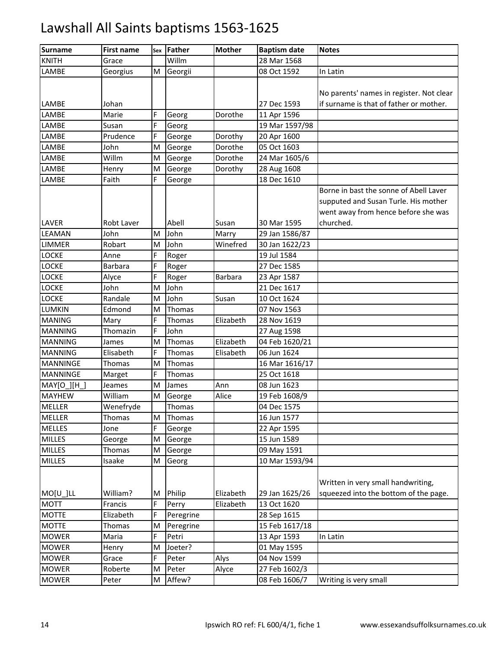| <b>Surname</b>  | <b>First name</b> |    | sex Father | <b>Mother</b>  | <b>Baptism date</b> | <b>Notes</b>                             |
|-----------------|-------------------|----|------------|----------------|---------------------|------------------------------------------|
| <b>KNITH</b>    | Grace             |    | Willm      |                | 28 Mar 1568         |                                          |
| LAMBE           | Georgius          | M  | Georgii    |                | 08 Oct 1592         | In Latin                                 |
|                 |                   |    |            |                |                     |                                          |
|                 |                   |    |            |                |                     | No parents' names in register. Not clear |
| LAMBE           | Johan             |    |            |                | 27 Dec 1593         | if surname is that of father or mother.  |
| LAMBE           | Marie             | F  | Georg      | Dorothe        | 11 Apr 1596         |                                          |
| LAMBE           | Susan             | F  | Georg      |                | 19 Mar 1597/98      |                                          |
| LAMBE           | Prudence          | F  | George     | Dorothy        | 20 Apr 1600         |                                          |
| LAMBE           | John              | M  | George     | Dorothe        | 05 Oct 1603         |                                          |
| LAMBE           | Willm             | M  | George     | Dorothe        | 24 Mar 1605/6       |                                          |
| LAMBE           | Henry             | M  | George     | Dorothy        | 28 Aug 1608         |                                          |
| LAMBE           | Faith             | F  | George     |                | 18 Dec 1610         |                                          |
|                 |                   |    |            |                |                     | Borne in bast the sonne of Abell Laver   |
|                 |                   |    |            |                |                     | supputed and Susan Turle. His mother     |
|                 |                   |    |            |                |                     | went away from hence before she was      |
| LAVER           | Robt Laver        |    | Abell      | Susan          | 30 Mar 1595         | churched.                                |
| LEAMAN          | John              | M  | John       | Marry          | 29 Jan 1586/87      |                                          |
| <b>LIMMER</b>   | Robart            | M  | John       | Winefred       | 30 Jan 1622/23      |                                          |
| <b>LOCKE</b>    | Anne              | E. | Roger      |                | 19 Jul 1584         |                                          |
| <b>LOCKE</b>    | Barbara           | F  | Roger      |                | 27 Dec 1585         |                                          |
| <b>LOCKE</b>    | Alyce             | E. | Roger      | <b>Barbara</b> | 23 Apr 1587         |                                          |
| <b>LOCKE</b>    | John              | M  | John       |                | 21 Dec 1617         |                                          |
| <b>LOCKE</b>    | Randale           | M  | John       | Susan          | 10 Oct 1624         |                                          |
| <b>LUMKIN</b>   | Edmond            | M  | Thomas     |                | 07 Nov 1563         |                                          |
| <b>MANING</b>   | Mary              | E. | Thomas     | Elizabeth      | 28 Nov 1619         |                                          |
| <b>MANNING</b>  | Thomazin          | Ė. | John       |                | 27 Aug 1598         |                                          |
| <b>MANNING</b>  | James             | M  | Thomas     | Elizabeth      | 04 Feb 1620/21      |                                          |
| <b>MANNING</b>  | Elisabeth         | E. | Thomas     | Elisabeth      | 06 Jun 1624         |                                          |
| <b>MANNINGE</b> | <b>Thomas</b>     | M  | Thomas     |                | 16 Mar 1616/17      |                                          |
| <b>MANNINGE</b> | Marget            | E. | Thomas     |                | 25 Oct 1618         |                                          |
| MAY[O ][H ]     | Jeames            | M  | James      | Ann            | 08 Jun 1623         |                                          |
| <b>MAYHEW</b>   | William           | M  | George     | Alice          | 19 Feb 1608/9       |                                          |
| <b>MELLER</b>   | Wenefryde         |    | Thomas     |                | 04 Dec 1575         |                                          |
| <b>MELLER</b>   | Thomas            | M  | Thomas     |                | 16 Jun 1577         |                                          |
| <b>MELLES</b>   | Jone              | E. | George     |                | 22 Apr 1595         |                                          |
| <b>MILLES</b>   | George            | M  | George     |                | 15 Jun 1589         |                                          |
| <b>MILLES</b>   | Thomas            | M  | George     |                | 09 May 1591         |                                          |
| <b>MILLES</b>   | Isaake            | Μ  | Georg      |                | 10 Mar 1593/94      |                                          |
|                 |                   |    |            |                |                     |                                          |
|                 |                   |    |            |                |                     | Written in very small handwriting,       |
| $MO[U_$ ]LL     | William?          | M  | Philip     | Elizabeth      | 29 Jan 1625/26      | squeezed into the bottom of the page.    |
| <b>MOTT</b>     | Francis           | F  | Perry      | Elizabeth      | 13 Oct 1620         |                                          |
| <b>MOTTE</b>    | Elizabeth         | F  | Peregrine  |                | 28 Sep 1615         |                                          |
| <b>MOTTE</b>    | Thomas            | M  | Peregrine  |                | 15 Feb 1617/18      |                                          |
| <b>MOWER</b>    | Maria             | E. | Petri      |                | 13 Apr 1593         | In Latin                                 |
| <b>MOWER</b>    | Henry             | M  | Joeter?    |                | 01 May 1595         |                                          |
| <b>MOWER</b>    | Grace             | F  | Peter      | Alys           | 04 Nov 1599         |                                          |
| <b>MOWER</b>    | Roberte           | M  | Peter      | Alyce          | 27 Feb 1602/3       |                                          |
| <b>MOWER</b>    | Peter             | M  | Affew?     |                | 08 Feb 1606/7       | Writing is very small                    |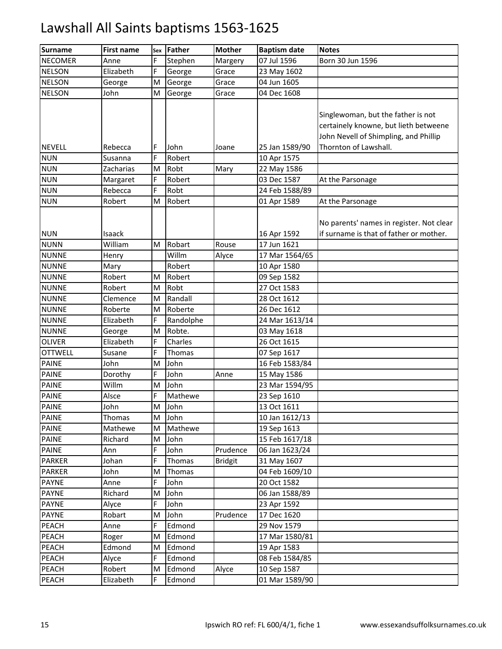| <b>Surname</b>                  | <b>First name</b> | Sex     | Father            | <b>Mother</b>  | <b>Baptism date</b>           | <b>Notes</b>                             |
|---------------------------------|-------------------|---------|-------------------|----------------|-------------------------------|------------------------------------------|
| <b>NECOMER</b>                  | Anne              | F       | Stephen           | Margery        | 07 Jul 1596                   | Born 30 Jun 1596                         |
| <b>NELSON</b>                   | Elizabeth         | F       | George            | Grace          | 23 May 1602                   |                                          |
| <b>NELSON</b>                   | George            | M       | George            | Grace          | 04 Jun 1605                   |                                          |
| <b>NELSON</b>                   | John              | M       | George            | Grace          | 04 Dec 1608                   |                                          |
|                                 |                   |         |                   |                |                               |                                          |
|                                 |                   |         |                   |                |                               | Singlewoman, but the father is not       |
|                                 |                   |         |                   |                |                               | certainely knowne, but lieth betweene    |
|                                 |                   |         |                   |                |                               | John Nevell of Shimpling, and Phillip    |
| <b>NEVELL</b>                   | Rebecca           | F       | John              | Joane          | 25 Jan 1589/90                | Thornton of Lawshall.                    |
| <b>NUN</b>                      | Susanna           | E.      | Robert            |                | 10 Apr 1575                   |                                          |
| <b>NUN</b>                      | Zacharias         | M       | Robt              | Mary           | 22 May 1586                   |                                          |
| <b>NUN</b>                      | Margaret          | E.      | Robert            |                | 03 Dec 1587                   | At the Parsonage                         |
| <b>NUN</b>                      | Rebecca           | F       | Robt              |                | 24 Feb 1588/89                |                                          |
| <b>NUN</b>                      | Robert            | M       | Robert            |                | 01 Apr 1589                   | At the Parsonage                         |
|                                 |                   |         |                   |                |                               |                                          |
|                                 |                   |         |                   |                |                               | No parents' names in register. Not clear |
| <b>NUN</b>                      | Isaack            |         |                   |                | 16 Apr 1592                   | if surname is that of father or mother.  |
| <b>NUNN</b>                     | William           | м       | Robart            | Rouse          | 17 Jun 1621                   |                                          |
| <b>NUNNE</b>                    | Henry             |         | Willm             | Alyce          | 17 Mar 1564/65                |                                          |
| <b>NUNNE</b>                    | Mary              |         | Robert            |                | 10 Apr 1580                   |                                          |
| <b>NUNNE</b>                    | Robert            | M       | Robert            |                | 09 Sep 1582                   |                                          |
| <b>NUNNE</b>                    | Robert            | M       | Robt              |                | 27 Oct 1583                   |                                          |
| <b>NUNNE</b>                    | Clemence          | M       | Randall           |                | 28 Oct 1612                   |                                          |
| <b>NUNNE</b>                    | Roberte           | M       | Roberte           |                | 26 Dec 1612                   |                                          |
| <b>NUNNE</b>                    | Elizabeth         | F       | Randolphe         |                | 24 Mar 1613/14                |                                          |
| <b>NUNNE</b>                    | George            | M<br>E. | Robte.            |                | 03 May 1618                   |                                          |
| <b>OLIVER</b><br><b>OTTWELL</b> | Elizabeth         | F       | Charles<br>Thomas |                | 26 Oct 1615                   |                                          |
| <b>PAINE</b>                    | Susane            | м       | John              |                | 07 Sep 1617                   |                                          |
| <b>PAINE</b>                    | John              | E.      | John              |                | 16 Feb 1583/84                |                                          |
| <b>PAINE</b>                    | Dorothy<br>Willm  | M       | John              | Anne           | 15 May 1586                   |                                          |
| <b>PAINE</b>                    | Alsce             | F       | Mathewe           |                | 23 Mar 1594/95<br>23 Sep 1610 |                                          |
| <b>PAINE</b>                    |                   | M       | John              |                | 13 Oct 1611                   |                                          |
| <b>PAINE</b>                    | John<br>Thomas    | M       | John              |                | 10 Jan 1612/13                |                                          |
| <b>PAINE</b>                    | Mathewe           | M       | Mathewe           |                | 19 Sep 1613                   |                                          |
| <b>PAINE</b>                    | Richard           | M       | John              |                | 15 Feb 1617/18                |                                          |
| <b>PAINE</b>                    | Ann               | E.      | John              | Prudence       | 06 Jan 1623/24                |                                          |
| <b>PARKER</b>                   | Johan             | F       | Thomas            | <b>Bridgit</b> | 31 May 1607                   |                                          |
| <b>PARKER</b>                   | John              | м       | Thomas            |                | 04 Feb 1609/10                |                                          |
| <b>PAYNE</b>                    | Anne              | F       | John              |                | 20 Oct 1582                   |                                          |
| <b>PAYNE</b>                    | Richard           | M       | John              |                | 06 Jan 1588/89                |                                          |
| <b>PAYNE</b>                    | Alyce             | E.      | John              |                | 23 Apr 1592                   |                                          |
| <b>PAYNE</b>                    | Robart            | M       | John              | Prudence       | 17 Dec 1620                   |                                          |
| PEACH                           | Anne              | F       | Edmond            |                | 29 Nov 1579                   |                                          |
| PEACH                           | Roger             | M       | Edmond            |                | 17 Mar 1580/81                |                                          |
| PEACH                           | Edmond            | Μ       | Edmond            |                | 19 Apr 1583                   |                                          |
| PEACH                           | Alyce             |         | Edmond            |                | 08 Feb 1584/85                |                                          |
| PEACH                           | Robert            | M       | Edmond            | Alyce          | 10 Sep 1587                   |                                          |
| PEACH                           | Elizabeth         | F       | Edmond            |                | 01 Mar 1589/90                |                                          |
|                                 |                   |         |                   |                |                               |                                          |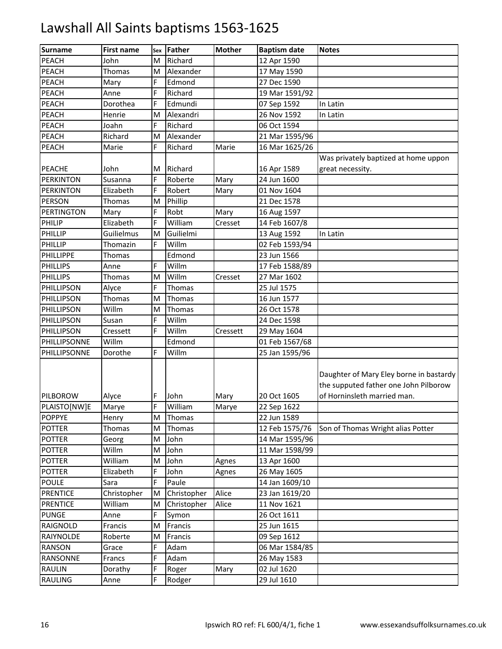| <b>Surname</b>    | <b>First name</b> | Sex | Father      | <b>Mother</b> | <b>Baptism date</b> | <b>Notes</b>                                                                                                    |
|-------------------|-------------------|-----|-------------|---------------|---------------------|-----------------------------------------------------------------------------------------------------------------|
| PEACH             | John              | M   | Richard     |               | 12 Apr 1590         |                                                                                                                 |
| PEACH             | Thomas            | M   | Alexander   |               | 17 May 1590         |                                                                                                                 |
| PEACH             | Mary              | F   | Edmond      |               | 27 Dec 1590         |                                                                                                                 |
| <b>PEACH</b>      | Anne              | E.  | Richard     |               | 19 Mar 1591/92      |                                                                                                                 |
| PEACH             | Dorothea          | E.  | Edmundi     |               | 07 Sep 1592         | In Latin                                                                                                        |
| PEACH             | Henrie            | M   | Alexandri   |               | 26 Nov 1592         | In Latin                                                                                                        |
| PEACH             | Joahn             | F   | Richard     |               | 06 Oct 1594         |                                                                                                                 |
| PEACH             | Richard           | M   | Alexander   |               | 21 Mar 1595/96      |                                                                                                                 |
| PEACH             | Marie             | E.  | Richard     | Marie         | 16 Mar 1625/26      |                                                                                                                 |
|                   |                   |     |             |               |                     | Was privately baptized at home uppon                                                                            |
| <b>PEACHE</b>     | John              | м   | Richard     |               | 16 Apr 1589         | great necessity.                                                                                                |
| <b>PERKINTON</b>  | Susanna           | F   | Roberte     | Mary          | 24 Jun 1600         |                                                                                                                 |
| <b>PERKINTON</b>  | Elizabeth         | E.  | Robert      | Mary          | 01 Nov 1604         |                                                                                                                 |
| PERSON            | Thomas            | M   | Phillip     |               | 21 Dec 1578         |                                                                                                                 |
| <b>PERTINGTON</b> | Mary              | F   | Robt        | Mary          | 16 Aug 1597         |                                                                                                                 |
| PHILIP            | Elizabeth         | E.  | William     | Cresset       | 14 Feb 1607/8       |                                                                                                                 |
| PHILLIP           | Guilielmus        | M   | Guilielmi   |               | 13 Aug 1592         | In Latin                                                                                                        |
| PHILLIP           | Thomazin          | E.  | Willm       |               | 02 Feb 1593/94      |                                                                                                                 |
| <b>PHILLIPPE</b>  | Thomas            |     | Edmond      |               | 23 Jun 1566         |                                                                                                                 |
| <b>PHILLIPS</b>   | Anne              | E.  | Willm       |               | 17 Feb 1588/89      |                                                                                                                 |
| <b>PHILLIPS</b>   | Thomas            | M   | Willm       | Cresset       | 27 Mar 1602         |                                                                                                                 |
| PHILLIPSON        | Alyce             | F   | Thomas      |               | 25 Jul 1575         |                                                                                                                 |
| PHILLIPSON        | Thomas            | M   | Thomas      |               | 16 Jun 1577         |                                                                                                                 |
| PHILLIPSON        | Willm             | M   | Thomas      |               | 26 Oct 1578         |                                                                                                                 |
| PHILLIPSON        | Susan             | F   | Willm       |               | 24 Dec 1598         |                                                                                                                 |
| PHILLIPSON        | Cressett          | F   | Willm       | Cressett      | 29 May 1604         |                                                                                                                 |
| PHILLIPSONNE      | Willm             |     | Edmond      |               | 01 Feb 1567/68      |                                                                                                                 |
| PHILLIPSONNE      | Dorothe           | E.  | Willm       |               | 25 Jan 1595/96      |                                                                                                                 |
| PILBOROW          | Alyce             | F   | John        | Mary          | 20 Oct 1605         | Daughter of Mary Eley borne in bastardy<br>the supputed father one John Pilborow<br>of Horninsleth married man. |
| PLAISTO[NW]E      | Marye             | F   | William     | Marye         | 22 Sep 1622         |                                                                                                                 |
| <b>POPPYE</b>     | Henry             | M   | Thomas      |               | 22 Jun 1589         |                                                                                                                 |
| <b>POTTER</b>     | Thomas            | M   | Thomas      |               | 12 Feb 1575/76      | Son of Thomas Wright alias Potter                                                                               |
| <b>POTTER</b>     | Georg             | Μ   | John        |               | 14 Mar 1595/96      |                                                                                                                 |
| <b>POTTER</b>     | Willm             | Μ   | John        |               | 11 Mar 1598/99      |                                                                                                                 |
| <b>POTTER</b>     | William           | Μ   | John        | Agnes         | 13 Apr 1600         |                                                                                                                 |
| <b>POTTER</b>     | Elizabeth         | F   | John        | Agnes         | 26 May 1605         |                                                                                                                 |
| <b>POULE</b>      | Sara              | F   | Paule       |               | 14 Jan 1609/10      |                                                                                                                 |
| <b>PRENTICE</b>   | Christopher       | M   | Christopher | Alice         | 23 Jan 1619/20      |                                                                                                                 |
| <b>PRENTICE</b>   | William           | Μ   | Christopher | Alice         | 11 Nov 1621         |                                                                                                                 |
| <b>PUNGE</b>      | Anne              | F   | Symon       |               | 26 Oct 1611         |                                                                                                                 |
| RAIGNOLD          | Francis           | M   | Francis     |               | 25 Jun 1615         |                                                                                                                 |
| RAIYNOLDE         | Roberte           | Μ   | Francis     |               | 09 Sep 1612         |                                                                                                                 |
| <b>RANSON</b>     | Grace             |     | Adam        |               | 06 Mar 1584/85      |                                                                                                                 |
| RANSONNE          | Francs            | F   | Adam        |               | 26 May 1583         |                                                                                                                 |
| RAULIN            | Dorathy           | F   | Roger       | Mary          | 02 Jul 1620         |                                                                                                                 |
| RAULING           | Anne              | F   | Rodger      |               | 29 Jul 1610         |                                                                                                                 |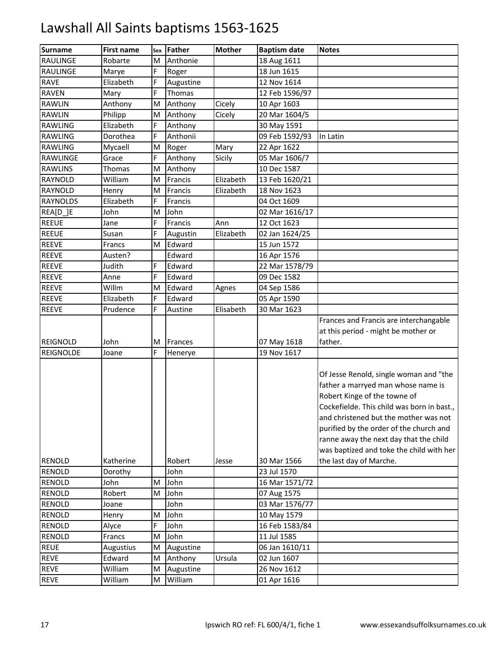| <b>Surname</b>                 | <b>First name</b>    | Sex | Father         | <b>Mother</b> | <b>Baptism date</b>        | <b>Notes</b>                               |
|--------------------------------|----------------------|-----|----------------|---------------|----------------------------|--------------------------------------------|
| RAULINGE                       | Robarte              | M   | Anthonie       |               | 18 Aug 1611                |                                            |
| RAULINGE                       | Marye                | F   | Roger          |               | 18 Jun 1615                |                                            |
| <b>RAVE</b>                    | Elizabeth            | F.  | Augustine      |               | 12 Nov 1614                |                                            |
| <b>RAVEN</b>                   | Mary                 | F   | Thomas         |               | 12 Feb 1596/97             |                                            |
| <b>RAWLIN</b>                  | Anthony              | M   | Anthony        | Cicely        | 10 Apr 1603                |                                            |
| <b>RAWLIN</b>                  | Philipp              | M   | Anthony        | Cicely        | 20 Mar 1604/5              |                                            |
| RAWLING                        | Elizabeth            | F   | Anthony        |               | 30 May 1591                |                                            |
| <b>RAWLING</b>                 | Dorothea             | E.  | Anthonii       |               | 09 Feb 1592/93             | In Latin                                   |
| <b>RAWLING</b>                 | Mycaell              | M   | Roger          | Mary          | 22 Apr 1622                |                                            |
| RAWLINGE                       | Grace                | F   | Anthony        | Sicily        | 05 Mar 1606/7              |                                            |
| <b>RAWLINS</b>                 | Thomas               | M   | Anthony        |               | 10 Dec 1587                |                                            |
| RAYNOLD                        | William              | M   | Francis        | Elizabeth     | 13 Feb 1620/21             |                                            |
| RAYNOLD                        | Henry                | M   | Francis        | Elizabeth     | 18 Nov 1623                |                                            |
| <b>RAYNOLDS</b>                | Elizabeth            | F   | Francis        |               | 04 Oct 1609                |                                            |
| REA[D_]E                       | John                 | M   | John           |               | 02 Mar 1616/17             |                                            |
| <b>REEUE</b>                   | Jane                 | F   | Francis        | Ann           | 12 Oct 1623                |                                            |
| <b>REEUE</b>                   | Susan                | F   | Augustin       | Elizabeth     | 02 Jan 1624/25             |                                            |
| <b>REEVE</b>                   | Francs               | M   | Edward         |               | 15 Jun 1572                |                                            |
| <b>REEVE</b>                   | Austen?              |     | Edward         |               | 16 Apr 1576                |                                            |
| <b>REEVE</b>                   | Judith               | F   | Edward         |               | 22 Mar 1578/79             |                                            |
| <b>REEVE</b>                   | Anne                 | F   | Edward         |               | 09 Dec 1582                |                                            |
| <b>REEVE</b>                   | Willm                | M   | Edward         | Agnes         | 04 Sep 1586                |                                            |
| <b>REEVE</b>                   | Elizabeth            | F   | Edward         |               | 05 Apr 1590                |                                            |
| <b>REEVE</b>                   | Prudence             | F   | Austine        | Elisabeth     | 30 Mar 1623                |                                            |
|                                |                      |     |                |               |                            | Frances and Francis are interchangable     |
|                                |                      |     |                |               |                            | at this period - might be mother or        |
| REIGNOLD                       | John                 | M   | Frances        |               | 07 May 1618                | father.                                    |
| REIGNOLDE                      | Joane                | F   | Henerye        |               | 19 Nov 1617                |                                            |
|                                |                      |     |                |               |                            |                                            |
|                                |                      |     |                |               |                            | Of Jesse Renold, single woman and "the     |
|                                |                      |     |                |               |                            | father a marryed man whose name is         |
|                                |                      |     |                |               |                            | Robert Kinge of the towne of               |
|                                |                      |     |                |               |                            | Cockefielde. This child was born in bast., |
|                                |                      |     |                |               |                            | and christened but the mother was not      |
|                                |                      |     |                |               |                            | purified by the order of the church and    |
|                                |                      |     |                |               |                            | ranne away the next day that the child     |
|                                |                      |     |                |               |                            | was baptized and toke the child with her   |
| <b>RENOLD</b><br><b>RENOLD</b> | Katherine<br>Dorothy |     | Robert<br>John | Jesse         | 30 Mar 1566<br>23 Jul 1570 | the last day of Marche.                    |
| RENOLD                         | John                 | M   | John           |               | 16 Mar 1571/72             |                                            |
| <b>RENOLD</b>                  | Robert               | M   | John           |               | 07 Aug 1575                |                                            |
| RENOLD                         | Joane                |     | John           |               | 03 Mar 1576/77             |                                            |
| RENOLD                         | Henry                | M   | John           |               | 10 May 1579                |                                            |
| <b>RENOLD</b>                  | Alyce                | E.  | John           |               | 16 Feb 1583/84             |                                            |
| RENOLD                         | Francs               | M   | John           |               | 11 Jul 1585                |                                            |
| <b>REUE</b>                    | <b>Augustius</b>     | M   | Augustine      |               | 06 Jan 1610/11             |                                            |
| <b>REVE</b>                    | Edward               | M   | Anthony        | Ursula        | 02 Jun 1607                |                                            |
| <b>REVE</b>                    | William              | M   | Augustine      |               | 26 Nov 1612                |                                            |
| <b>REVE</b>                    | William              | M   | William        |               | 01 Apr 1616                |                                            |
|                                |                      |     |                |               |                            |                                            |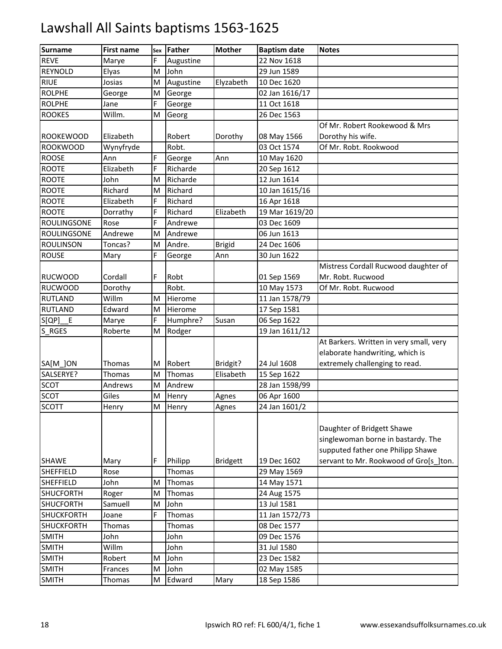| <b>Surname</b>               | <b>First name</b> | Sex | <b>Father</b> | <b>Mother</b>   | <b>Baptism date</b>        | <b>Notes</b>                            |
|------------------------------|-------------------|-----|---------------|-----------------|----------------------------|-----------------------------------------|
| <b>REVE</b>                  | Marye             | F   | Augustine     |                 | 22 Nov 1618                |                                         |
| <b>REYNOLD</b>               | Elyas             | M   | John          |                 | 29 Jun 1589                |                                         |
| <b>RIUE</b>                  | Josias            | M   | Augustine     | Elyzabeth       | 10 Dec 1620                |                                         |
| <b>ROLPHE</b>                | George            | M   | George        |                 | 02 Jan 1616/17             |                                         |
| <b>ROLPHE</b>                | Jane              | F   | George        |                 | 11 Oct 1618                |                                         |
| <b>ROOKES</b>                | Willm.            | M   | Georg         |                 | 26 Dec 1563                |                                         |
|                              |                   |     |               |                 |                            | Of Mr. Robert Rookewood & Mrs           |
| <b>ROOKEWOOD</b>             | Elizabeth         |     | Robert        | Dorothy         | 08 May 1566                | Dorothy his wife.                       |
| <b>ROOKWOOD</b>              | Wynyfryde         |     | Robt.         |                 | 03 Oct 1574                | Of Mr. Robt. Rookwood                   |
| <b>ROOSE</b>                 | Ann               | E.  | George        | Ann             | 10 May 1620                |                                         |
| <b>ROOTE</b>                 | Elizabeth         | F   | Richarde      |                 | 20 Sep 1612                |                                         |
| <b>ROOTE</b>                 | John              | M   | Richarde      |                 | 12 Jun 1614                |                                         |
| <b>ROOTE</b>                 | Richard           | M   | Richard       |                 | 10 Jan 1615/16             |                                         |
| <b>ROOTE</b>                 | Elizabeth         | F   | Richard       |                 | 16 Apr 1618                |                                         |
| <b>ROOTE</b>                 | Dorrathy          | F   | Richard       | Elizabeth       | 19 Mar 1619/20             |                                         |
| <b>ROULINGSONE</b>           | Rose              | F   | Andrewe       |                 | 03 Dec 1609                |                                         |
| <b>ROULINGSONE</b>           | Andrewe           | M   | Andrewe       |                 | 06 Jun 1613                |                                         |
| <b>ROULINSON</b>             | Toncas?           | M   | Andre.        | <b>Brigid</b>   | 24 Dec 1606                |                                         |
| <b>ROUSE</b>                 | Mary              | F   | George        | Ann             | 30 Jun 1622                |                                         |
|                              |                   |     |               |                 |                            | Mistress Cordall Rucwood daughter of    |
| <b>RUCWOOD</b>               | Cordall           | F   | Robt          |                 | 01 Sep 1569                | Mr. Robt. Rucwood                       |
| <b>RUCWOOD</b>               | Dorothy           |     | Robt.         |                 | 10 May 1573                | Of Mr. Robt. Rucwood                    |
| <b>RUTLAND</b>               | Willm             | M   | Hierome       |                 | 11 Jan 1578/79             |                                         |
| <b>RUTLAND</b>               | Edward            | M   | Hierome       |                 | 17 Sep 1581                |                                         |
| $S[QP]$ $E$                  | Marye             | F   | Humphre?      | Susan           | 06 Sep 1622                |                                         |
| S RGES                       | Roberte           | M   | Rodger        |                 | 19 Jan 1611/12             |                                         |
|                              |                   |     |               |                 |                            | At Barkers. Written in very small, very |
|                              |                   |     |               |                 |                            | elaborate handwriting, which is         |
| SA[M ]ON                     | Thomas            | M   | Robert        | Bridgit?        | 24 Jul 1608                | extremely challenging to read.          |
| SALSERYE?                    | Thomas            | M   | Thomas        | Elisabeth       | 15 Sep 1622                |                                         |
| <b>SCOT</b>                  | Andrews           | M   | Andrew        |                 | 28 Jan 1598/99             |                                         |
| <b>SCOT</b>                  | Giles             | M   | Henry         | Agnes           | 06 Apr 1600                |                                         |
| <b>SCOTT</b>                 | Henry             | M   | Henry         | Agnes           | 24 Jan 1601/2              |                                         |
|                              |                   |     |               |                 |                            |                                         |
|                              |                   |     |               |                 |                            | Daughter of Bridgett Shawe              |
|                              |                   |     |               |                 |                            | singlewoman borne in bastardy. The      |
|                              |                   |     |               |                 |                            | supputed father one Philipp Shawe       |
| <b>SHAWE</b>                 | Mary              | F   | Philipp       | <b>Bridgett</b> | 19 Dec 1602                | servant to Mr. Rookwood of Gro[s ]ton.  |
| <b>SHEFFIELD</b>             | Rose              |     | Thomas        |                 | 29 May 1569                |                                         |
| <b>SHEFFIELD</b>             | John              | M   | Thomas        |                 | 14 May 1571                |                                         |
| <b>SHUCFORTH</b>             | Roger             | M   | Thomas        |                 | 24 Aug 1575                |                                         |
| <b>SHUCFORTH</b>             | Samuell           | M   | John          |                 | 13 Jul 1581                |                                         |
| <b>SHUCKFORTH</b>            | Joane             | F.  | Thomas        |                 | 11 Jan 1572/73             |                                         |
| <b>SHUCKFORTH</b>            | Thomas            |     | Thomas        |                 | 08 Dec 1577                |                                         |
| <b>SMITH</b>                 | John<br>Willm     |     | John          |                 | 09 Dec 1576                |                                         |
| <b>SMITH</b><br><b>SMITH</b> |                   |     | John<br>John  |                 | 31 Jul 1580<br>23 Dec 1582 |                                         |
| <b>SMITH</b>                 | Robert            | M   | John          |                 |                            |                                         |
|                              | Frances           | M   |               |                 | 02 May 1585                |                                         |
| <b>SMITH</b>                 | Thomas            | M   | Edward        | Mary            | 18 Sep 1586                |                                         |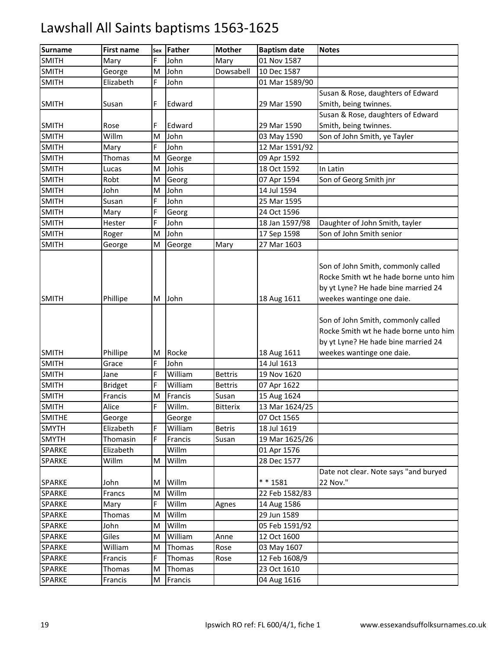| Surname                 | <b>First name</b> | Sex     | <b>Father</b>  | <b>Mother</b>   | <b>Baptism date</b> | <b>Notes</b>                                                                                                                                    |
|-------------------------|-------------------|---------|----------------|-----------------|---------------------|-------------------------------------------------------------------------------------------------------------------------------------------------|
| <b>SMITH</b>            | Mary              | E.      | John           | Mary            | 01 Nov 1587         |                                                                                                                                                 |
| <b>SMITH</b>            | George            | M       | John           | Dowsabell       | 10 Dec 1587         |                                                                                                                                                 |
| <b>SMITH</b>            | Elizabeth         | E.      | John           |                 | 01 Mar 1589/90      |                                                                                                                                                 |
|                         |                   |         |                |                 |                     | Susan & Rose, daughters of Edward                                                                                                               |
| <b>SMITH</b>            | Susan             | F       | Edward         |                 | 29 Mar 1590         | Smith, being twinnes.                                                                                                                           |
|                         |                   |         |                |                 |                     | Susan & Rose, daughters of Edward                                                                                                               |
| <b>SMITH</b>            | Rose              | F       | Edward         |                 | 29 Mar 1590         | Smith, being twinnes.                                                                                                                           |
| <b>SMITH</b>            | Willm             | M       | John           |                 | 03 May 1590         | Son of John Smith, ye Tayler                                                                                                                    |
| <b>SMITH</b>            | Mary              | F.      | John           |                 | 12 Mar 1591/92      |                                                                                                                                                 |
| <b>SMITH</b>            | Thomas            | M       | George         |                 | 09 Apr 1592         |                                                                                                                                                 |
| <b>SMITH</b>            | Lucas             | M       | Johis          |                 | 18 Oct 1592         | In Latin                                                                                                                                        |
| <b>SMITH</b>            | Robt              | M       | Georg          |                 | 07 Apr 1594         | Son of Georg Smith jnr                                                                                                                          |
| <b>SMITH</b>            | John              | M       | John           |                 | 14 Jul 1594         |                                                                                                                                                 |
| <b>SMITH</b>            | Susan             | F.      | John           |                 | 25 Mar 1595         |                                                                                                                                                 |
| <b>SMITH</b>            | Mary              | F       | Georg          |                 | 24 Oct 1596         |                                                                                                                                                 |
| <b>SMITH</b>            | Hester            | E.      | John           |                 | 18 Jan 1597/98      | Daughter of John Smith, tayler                                                                                                                  |
| <b>SMITH</b>            | Roger             | M       | John           |                 | 17 Sep 1598         | Son of John Smith senior                                                                                                                        |
| <b>SMITH</b>            | George            | M       | George         | Mary            | 27 Mar 1603         |                                                                                                                                                 |
| <b>SMITH</b>            | Phillipe          | М       | John           |                 | 18 Aug 1611         | Son of John Smith, commonly called<br>Rocke Smith wt he hade borne unto him<br>by yt Lyne? He hade bine married 24<br>weekes wantinge one daie. |
|                         |                   |         |                |                 |                     | Son of John Smith, commonly called<br>Rocke Smith wt he hade borne unto him<br>by yt Lyne? He hade bine married 24                              |
| <b>SMITH</b>            | Phillipe          | м       | Rocke          |                 | 18 Aug 1611         | weekes wantinge one daie.                                                                                                                       |
| <b>SMITH</b>            | Grace             | F       | John           |                 | 14 Jul 1613         |                                                                                                                                                 |
| <b>SMITH</b>            | Jane              | F       | William        | <b>Bettris</b>  | 19 Nov 1620         |                                                                                                                                                 |
| <b>SMITH</b>            | <b>Bridget</b>    | E.      | William        | <b>Bettris</b>  | 07 Apr 1622         |                                                                                                                                                 |
| <b>SMITH</b>            | Francis           | M       | Francis        | Susan           | 15 Aug 1624         |                                                                                                                                                 |
| <b>SMITH</b>            | Alice             | F       | Willm.         | <b>Bitterix</b> | 13 Mar 1624/25      |                                                                                                                                                 |
| <b>SMITHE</b>           | George            |         | George         |                 | 07 Oct 1565         |                                                                                                                                                 |
| <b>SMYTH</b>            | Elizabeth         | F<br>E. | William        | <b>Betris</b>   | 18 Jul 1619         |                                                                                                                                                 |
| <b>SMYTH</b>            | Thomasin          |         | Francis        | Susan           | 19 Mar 1625/26      |                                                                                                                                                 |
| SPARKE<br><b>SPARKE</b> | Elizabeth         | M       | Willm<br>Willm |                 | 01 Apr 1576         |                                                                                                                                                 |
|                         | Willm             |         |                |                 | 28 Dec 1577         | Date not clear. Note says "and buryed                                                                                                           |
| <b>SPARKE</b>           | John              | M       | Willm          |                 | ** 1581             | 22 Nov."                                                                                                                                        |
| <b>SPARKE</b>           | Francs            | M       | Willm          |                 | 22 Feb 1582/83      |                                                                                                                                                 |
| <b>SPARKE</b>           | Mary              | F       | Willm          | Agnes           | 14 Aug 1586         |                                                                                                                                                 |
| <b>SPARKE</b>           | Thomas            | M       | Willm          |                 | 29 Jun 1589         |                                                                                                                                                 |
| <b>SPARKE</b>           | John              | Μ       | Willm          |                 | 05 Feb 1591/92      |                                                                                                                                                 |
| <b>SPARKE</b>           | Giles             | M       | William        | Anne            | 12 Oct 1600         |                                                                                                                                                 |
| <b>SPARKE</b>           | William           | M       | Thomas         | Rose            | 03 May 1607         |                                                                                                                                                 |
| <b>SPARKE</b>           | Francis           | E.      | Thomas         | Rose            | 12 Feb 1608/9       |                                                                                                                                                 |
| <b>SPARKE</b>           | Thomas            | M       | Thomas         |                 | 23 Oct 1610         |                                                                                                                                                 |
| <b>SPARKE</b>           | Francis           | М       | Francis        |                 | 04 Aug 1616         |                                                                                                                                                 |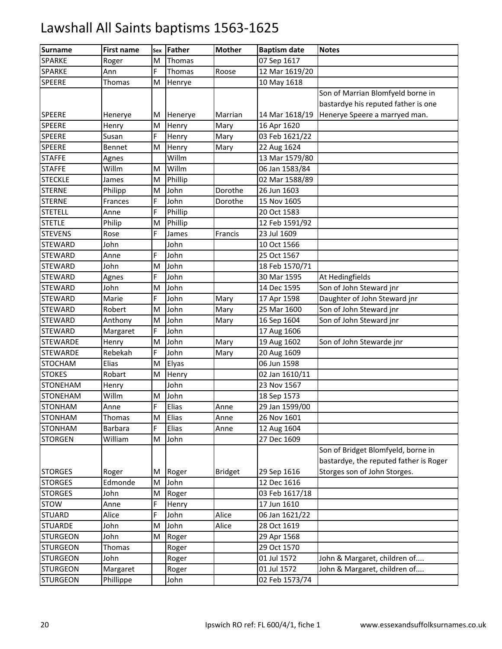| <b>Surname</b>  | <b>First name</b> | Sex | <b>Father</b> | <b>Mother</b>  | <b>Baptism date</b> | <b>Notes</b>                           |
|-----------------|-------------------|-----|---------------|----------------|---------------------|----------------------------------------|
| SPARKE          | Roger             | M   | Thomas        |                | 07 Sep 1617         |                                        |
| <b>SPARKE</b>   | Ann               | E.  | Thomas        | Roose          | 12 Mar 1619/20      |                                        |
| <b>SPEERE</b>   | Thomas            | M   | Henrye        |                | 10 May 1618         |                                        |
|                 |                   |     |               |                |                     | Son of Marrian Blomfyeld borne in      |
|                 |                   |     |               |                |                     | bastardye his reputed father is one    |
| <b>SPEERE</b>   | Henerye           | M   | Henerye       | Marrian        | 14 Mar 1618/19      | Henerye Speere a marryed man.          |
| <b>SPEERE</b>   | Henry             | M   | Henry         | Mary           | 16 Apr 1620         |                                        |
| <b>SPEERE</b>   | Susan             | F   | Henry         | Mary           | 03 Feb 1621/22      |                                        |
| <b>SPEERE</b>   | Bennet            | M   | Henry         | Mary           | 22 Aug 1624         |                                        |
| <b>STAFFE</b>   | Agnes             |     | Willm         |                | 13 Mar 1579/80      |                                        |
| <b>STAFFE</b>   | Willm             | M   | Willm         |                | 06 Jan 1583/84      |                                        |
| <b>STECKLE</b>  | James             | M   | Phillip       |                | 02 Mar 1588/89      |                                        |
| <b>STERNE</b>   | Philipp           | M   | John          | Dorothe        | 26 Jun 1603         |                                        |
| <b>STERNE</b>   | Frances           | F   | John          | Dorothe        | 15 Nov 1605         |                                        |
| <b>STETELL</b>  | Anne              | F   | Phillip       |                | 20 Oct 1583         |                                        |
| <b>STETLE</b>   | Philip            | M   | Phillip       |                | 12 Feb 1591/92      |                                        |
| <b>STEVENS</b>  | Rose              | F   | James         | Francis        | 23 Jul 1609         |                                        |
| <b>STEWARD</b>  | John              |     | John          |                | 10 Oct 1566         |                                        |
| <b>STEWARD</b>  | Anne              | F   | John          |                | 25 Oct 1567         |                                        |
| <b>STEWARD</b>  | John              | M   | John          |                | 18 Feb 1570/71      |                                        |
| <b>STEWARD</b>  | Agnes             | F   | John          |                | 30 Mar 1595         | At Hedingfields                        |
| <b>STEWARD</b>  | John              | M   | John          |                | 14 Dec 1595         | Son of John Steward jnr                |
| <b>STEWARD</b>  | Marie             | F   | John          | Mary           | 17 Apr 1598         | Daughter of John Steward jnr           |
| <b>STEWARD</b>  | Robert            | M   | John          | Mary           | 25 Mar 1600         | Son of John Steward jnr                |
| <b>STEWARD</b>  | Anthony           | M   | John          | Mary           | 16 Sep 1604         | Son of John Steward jnr                |
| <b>STEWARD</b>  | Margaret          | F   | John          |                | 17 Aug 1606         |                                        |
| <b>STEWARDE</b> | Henry             | M   | John          | Mary           | 19 Aug 1602         | Son of John Stewarde jnr               |
| <b>STEWARDE</b> | Rebekah           | F   | John          | Mary           | 20 Aug 1609         |                                        |
| <b>STOCHAM</b>  | Elias             | M   | Elyas         |                | 06 Jun 1598         |                                        |
| <b>STOKES</b>   | Robart            | M   | Henry         |                | 02 Jan 1610/11      |                                        |
| <b>STONEHAM</b> | Henry             |     | John          |                | 23 Nov 1567         |                                        |
| <b>STONEHAM</b> | Willm             | M   | John          |                | 18 Sep 1573         |                                        |
| <b>STONHAM</b>  | Anne              | F   | Elias         | Anne           | 29 Jan 1599/00      |                                        |
| <b>STONHAM</b>  | Thomas            | M   | Elias         | Anne           | 26 Nov 1601         |                                        |
| <b>STONHAM</b>  | Barbara           | E.  | Elias         | Anne           | 12 Aug 1604         |                                        |
| <b>STORGEN</b>  | William           | M   | John          |                | 27 Dec 1609         |                                        |
|                 |                   |     |               |                |                     | Son of Bridget Blomfyeld, borne in     |
|                 |                   |     |               |                |                     | bastardye, the reputed father is Roger |
| <b>STORGES</b>  | Roger             | M   | Roger         | <b>Bridget</b> | 29 Sep 1616         | Storges son of John Storges.           |
| <b>STORGES</b>  | Edmonde           | M   | John          |                | 12 Dec 1616         |                                        |
| <b>STORGES</b>  | John              | M   | Roger         |                | 03 Feb 1617/18      |                                        |
| <b>STOW</b>     | Anne              | Ė   | Henry         |                | 17 Jun 1610         |                                        |
| <b>STUARD</b>   | Alice             | F   | John          | Alice          | 06 Jan 1621/22      |                                        |
| <b>STUARDE</b>  | John              | M   | John          | Alice          | 28 Oct 1619         |                                        |
| <b>STURGEON</b> | John              | M   | Roger         |                | 29 Apr 1568         |                                        |
| <b>STURGEON</b> | Thomas            |     | Roger         |                | 29 Oct 1570         |                                        |
| <b>STURGEON</b> | John              |     | Roger         |                | 01 Jul 1572         | John & Margaret, children of           |
| <b>STURGEON</b> | Margaret          |     | Roger         |                | 01 Jul 1572         | John & Margaret, children of           |
| <b>STURGEON</b> | Phillippe         |     | John          |                | 02 Feb 1573/74      |                                        |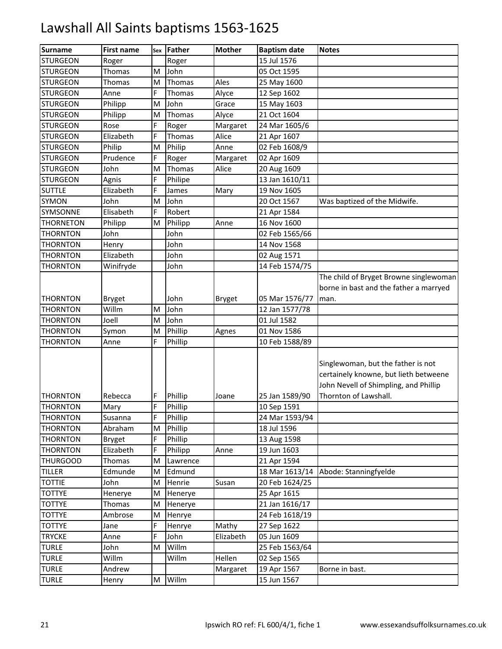| <b>Surname</b>   | <b>First name</b> | Sex | <b>Father</b> | <b>Mother</b> | <b>Baptism date</b> | <b>Notes</b>                                                                                                         |
|------------------|-------------------|-----|---------------|---------------|---------------------|----------------------------------------------------------------------------------------------------------------------|
| <b>STURGEON</b>  | Roger             |     | Roger         |               | 15 Jul 1576         |                                                                                                                      |
| <b>STURGEON</b>  | Thomas            | M   | John          |               | 05 Oct 1595         |                                                                                                                      |
| <b>STURGEON</b>  | Thomas            | M   | Thomas        | Ales          | 25 May 1600         |                                                                                                                      |
| <b>STURGEON</b>  | Anne              | F   | Thomas        | Alyce         | 12 Sep 1602         |                                                                                                                      |
| <b>STURGEON</b>  | Philipp           | M   | John          | Grace         | 15 May 1603         |                                                                                                                      |
| <b>STURGEON</b>  | Philipp           | M   | Thomas        | Alyce         | 21 Oct 1604         |                                                                                                                      |
| <b>STURGEON</b>  | Rose              | F   | Roger         | Margaret      | 24 Mar 1605/6       |                                                                                                                      |
| <b>STURGEON</b>  | Elizabeth         | F   | Thomas        | Alice         | 21 Apr 1607         |                                                                                                                      |
| <b>STURGEON</b>  | Philip            | M   | Philip        | Anne          | 02 Feb 1608/9       |                                                                                                                      |
| <b>STURGEON</b>  | Prudence          | F   | Roger         | Margaret      | 02 Apr 1609         |                                                                                                                      |
| <b>STURGEON</b>  | John              | M   | Thomas        | Alice         | 20 Aug 1609         |                                                                                                                      |
| <b>STURGEON</b>  | Agnis             | F   | Philipe       |               | 13 Jan 1610/11      |                                                                                                                      |
| <b>SUTTLE</b>    | Elizabeth         | F   | James         | Mary          | 19 Nov 1605         |                                                                                                                      |
| SYMON            | John              | M   | John          |               | 20 Oct 1567         | Was baptized of the Midwife.                                                                                         |
| SYMSONNE         | Elisabeth         | F   | Robert        |               | 21 Apr 1584         |                                                                                                                      |
| <b>THORNETON</b> | Philipp           | M   | Philipp       | Anne          | 16 Nov 1600         |                                                                                                                      |
| THORNTON         | John              |     | John          |               | 02 Feb 1565/66      |                                                                                                                      |
| THORNTON         | Henry             |     | John          |               | 14 Nov 1568         |                                                                                                                      |
| <b>THORNTON</b>  | Elizabeth         |     | John          |               | 02 Aug 1571         |                                                                                                                      |
| THORNTON         | Winifryde         |     | John          |               | 14 Feb 1574/75      |                                                                                                                      |
|                  |                   |     |               |               |                     | The child of Bryget Browne singlewoman                                                                               |
|                  |                   |     |               |               |                     | borne in bast and the father a marryed                                                                               |
| <b>THORNTON</b>  | <b>Bryget</b>     |     | John          | <b>Bryget</b> | 05 Mar 1576/77      | man.                                                                                                                 |
| <b>THORNTON</b>  | Willm             | M   | John          |               | 12 Jan 1577/78      |                                                                                                                      |
| THORNTON         | Joell             | M   | John          |               | 01 Jul 1582         |                                                                                                                      |
| THORNTON         | Symon             | M   | Phillip       | Agnes         | 01 Nov 1586         |                                                                                                                      |
| THORNTON         | Anne              | F   | Phillip       |               | 10 Feb 1588/89      |                                                                                                                      |
|                  |                   |     |               |               |                     | Singlewoman, but the father is not<br>certainely knowne, but lieth betweene<br>John Nevell of Shimpling, and Phillip |
| <b>THORNTON</b>  | Rebecca           | F   | Phillip       | Joane         | 25 Jan 1589/90      | Thornton of Lawshall.                                                                                                |
| <b>THORNTON</b>  | Mary              | F   | Phillip       |               | 10 Sep 1591         |                                                                                                                      |
| <b>THORNTON</b>  | Susanna           | F   | Phillip       |               | 24 Mar 1593/94      |                                                                                                                      |
| <b>THORNTON</b>  | Abraham           | M   | Phillip       |               | 18 Jul 1596         |                                                                                                                      |
| <b>THORNTON</b>  | <b>Bryget</b>     | F   | Phillip       |               | 13 Aug 1598         |                                                                                                                      |
| <b>THORNTON</b>  | Elizabeth         | F   | Philipp       | Anne          | 19 Jun 1603         |                                                                                                                      |
| <b>THURGOOD</b>  | <b>Thomas</b>     | M   | Lawrence      |               | 21 Apr 1594         |                                                                                                                      |
| <b>TILLER</b>    | Edmunde           | M   | Edmund        |               | 18 Mar 1613/14      | Abode: Stanningfyelde                                                                                                |
| <b>TOTTIE</b>    | John              | M   | Henrie        | Susan         | 20 Feb 1624/25      |                                                                                                                      |
| <b>TOTTYE</b>    | Henerye           | M   | Henerye       |               | 25 Apr 1615         |                                                                                                                      |
| <b>TOTTYE</b>    | Thomas            | M   | Henerye       |               | 21 Jan 1616/17      |                                                                                                                      |
| <b>TOTTYE</b>    | Ambrose           | M   | Henrye        |               | 24 Feb 1618/19      |                                                                                                                      |
| <b>TOTTYE</b>    | Jane              | F   | Henrye        | Mathy         | 27 Sep 1622         |                                                                                                                      |
| <b>TRYCKE</b>    | Anne              | F   | John          | Elizabeth     | 05 Jun 1609         |                                                                                                                      |
| <b>TURLE</b>     | John              | M   | Willm         |               | 25 Feb 1563/64      |                                                                                                                      |
| <b>TURLE</b>     | Willm             |     | Willm         | Hellen        | 02 Sep 1565         |                                                                                                                      |
| <b>TURLE</b>     | Andrew            |     |               | Margaret      | 19 Apr 1567         | Borne in bast.                                                                                                       |
| <b>TURLE</b>     | Henry             | M   | Willm         |               | 15 Jun 1567         |                                                                                                                      |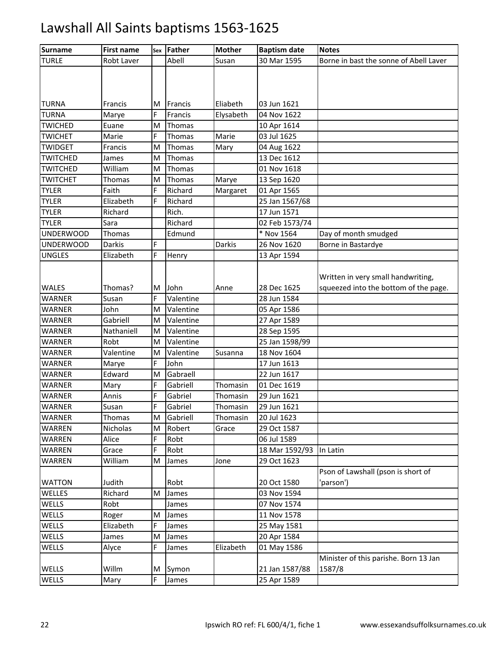| <b>Surname</b>   | <b>First name</b> | Sex | Father    | <b>Mother</b> | <b>Baptism date</b> | <b>Notes</b>                           |
|------------------|-------------------|-----|-----------|---------------|---------------------|----------------------------------------|
| <b>TURLE</b>     | Robt Laver        |     | Abell     | Susan         | 30 Mar 1595         | Borne in bast the sonne of Abell Laver |
|                  |                   |     |           |               |                     |                                        |
|                  |                   |     |           |               |                     |                                        |
|                  |                   |     |           |               |                     |                                        |
| <b>TURNA</b>     | Francis           | м   | Francis   | Eliabeth      | 03 Jun 1621         |                                        |
| <b>TURNA</b>     | Marye             | F   | Francis   | Elysabeth     | 04 Nov 1622         |                                        |
| <b>TWICHED</b>   | Euane             | M   | Thomas    |               | 10 Apr 1614         |                                        |
| <b>TWICHET</b>   | Marie             | F   | Thomas    | Marie         | 03 Jul 1625         |                                        |
| <b>TWIDGET</b>   | Francis           | M   | Thomas    | Mary          | 04 Aug 1622         |                                        |
| <b>TWITCHED</b>  | James             | M   | Thomas    |               | 13 Dec 1612         |                                        |
| <b>TWITCHED</b>  | William           | M   | Thomas    |               | 01 Nov 1618         |                                        |
| <b>TWITCHET</b>  | Thomas            | M   | Thomas    | Marye         | 13 Sep 1620         |                                        |
| <b>TYLER</b>     | Faith             | F   | Richard   | Margaret      | 01 Apr 1565         |                                        |
| <b>TYLER</b>     | Elizabeth         | F   | Richard   |               | 25 Jan 1567/68      |                                        |
| <b>TYLER</b>     | Richard           |     | Rich.     |               | 17 Jun 1571         |                                        |
| <b>TYLER</b>     | Sara              |     | Richard   |               | 02 Feb 1573/74      |                                        |
| <b>UNDERWOOD</b> | Thomas            |     | Edmund    |               | * Nov 1564          | Day of month smudged                   |
| <b>UNDERWOOD</b> | <b>Darkis</b>     | F   |           | Darkis        | 26 Nov 1620         | Borne in Bastardye                     |
| <b>UNGLES</b>    | Elizabeth         | F   | Henry     |               | 13 Apr 1594         |                                        |
|                  |                   |     |           |               |                     |                                        |
|                  |                   |     |           |               |                     | Written in very small handwriting,     |
| <b>WALES</b>     | Thomas?           | М   | John      | Anne          | 28 Dec 1625         | squeezed into the bottom of the page.  |
| <b>WARNER</b>    | Susan             | F   | Valentine |               | 28 Jun 1584         |                                        |
| <b>WARNER</b>    | John              | M   | Valentine |               | 05 Apr 1586         |                                        |
| <b>WARNER</b>    | Gabriell          | M   | Valentine |               | 27 Apr 1589         |                                        |
| <b>WARNER</b>    | Nathaniell        | M   | Valentine |               | 28 Sep 1595         |                                        |
| <b>WARNER</b>    | Robt              | M   | Valentine |               | 25 Jan 1598/99      |                                        |
| <b>WARNER</b>    | Valentine         | M   | Valentine | Susanna       | 18 Nov 1604         |                                        |
| <b>WARNER</b>    | Marye             | F   | John      |               | 17 Jun 1613         |                                        |
| <b>WARNER</b>    | Edward            | M   | Gabraell  |               | 22 Jun 1617         |                                        |
| <b>WARNER</b>    | Mary              | F   | Gabriell  | Thomasin      | 01 Dec 1619         |                                        |
| <b>WARNER</b>    | Annis             | F   | Gabriel   | Thomasin      | 29 Jun 1621         |                                        |
| <b>WARNER</b>    | Susan             | F   | Gabriel   | Thomasin      | 29 Jun 1621         |                                        |
| <b>WARNER</b>    | Thomas            | M   | Gabriell  | Thomasin      | 20 Jul 1623         |                                        |
| <b>WARREN</b>    | Nicholas          | M   | Robert    | Grace         | 29 Oct 1587         |                                        |
| WARREN           | Alice             | F   | Robt      |               | 06 Jul 1589         |                                        |
| <b>WARREN</b>    | Grace             | F   | Robt      |               | 18 Mar 1592/93      | In Latin                               |
| <b>WARREN</b>    | William           | M   | James     | Jone          | 29 Oct 1623         |                                        |
|                  |                   |     |           |               |                     | Pson of Lawshall (pson is short of     |
| <b>WATTON</b>    | Judith            |     | Robt      |               | 20 Oct 1580         | 'parson')                              |
| WELLES           | Richard           | M   | James     |               | 03 Nov 1594         |                                        |
| WELLS            | Robt              |     | James     |               | 07 Nov 1574         |                                        |
| WELLS            | Roger             | M   | James     |               | 11 Nov 1578         |                                        |
| WELLS            | Elizabeth         | F   | James     |               | 25 May 1581         |                                        |
| WELLS            | James             | M   | James     |               | 20 Apr 1584         |                                        |
| WELLS            | Alyce             | F   | James     | Elizabeth     | 01 May 1586         |                                        |
|                  |                   |     |           |               |                     | Minister of this parishe. Born 13 Jan  |
| WELLS            | Willm             | M   | Symon     |               | 21 Jan 1587/88      | 1587/8                                 |
| WELLS            | Mary              | F   | James     |               | 25 Apr 1589         |                                        |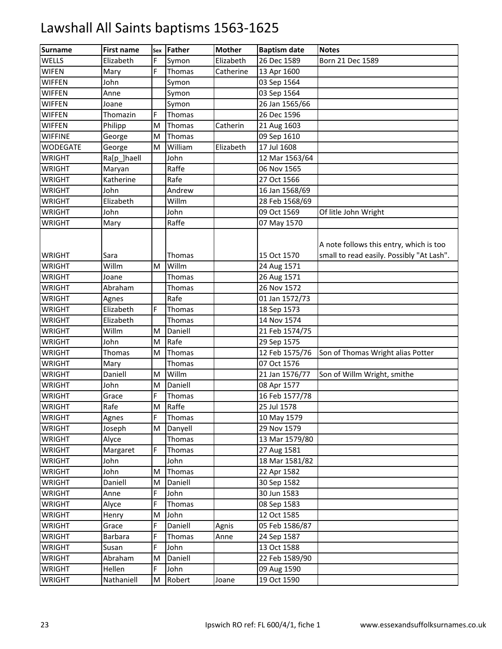| <b>Surname</b> | <b>First name</b> | Sex | Father  | <b>Mother</b> | <b>Baptism date</b> | <b>Notes</b>                                                                         |
|----------------|-------------------|-----|---------|---------------|---------------------|--------------------------------------------------------------------------------------|
| WELLS          | Elizabeth         | F   | Symon   | Elizabeth     | 26 Dec 1589         | Born 21 Dec 1589                                                                     |
| WIFEN          | Mary              | F   | Thomas  | Catherine     | 13 Apr 1600         |                                                                                      |
| <b>WIFFEN</b>  | John              |     | Symon   |               | 03 Sep 1564         |                                                                                      |
| <b>WIFFEN</b>  | Anne              |     | Symon   |               | 03 Sep 1564         |                                                                                      |
| <b>WIFFEN</b>  | Joane             |     | Symon   |               | 26 Jan 1565/66      |                                                                                      |
| <b>WIFFEN</b>  | Thomazin          | F   | Thomas  |               | 26 Dec 1596         |                                                                                      |
| <b>WIFFEN</b>  | Philipp           | M   | Thomas  | Catherin      | 21 Aug 1603         |                                                                                      |
| <b>WIFFINE</b> | George            | M   | Thomas  |               | 09 Sep 1610         |                                                                                      |
| WODEGATE       | George            | M   | William | Elizabeth     | 17 Jul 1608         |                                                                                      |
| WRIGHT         | Ra[p ]haell       |     | John    |               | 12 Mar 1563/64      |                                                                                      |
| WRIGHT         | Maryan            |     | Raffe   |               | 06 Nov 1565         |                                                                                      |
| WRIGHT         | Katherine         |     | Rafe    |               | 27 Oct 1566         |                                                                                      |
| WRIGHT         | John              |     | Andrew  |               | 16 Jan 1568/69      |                                                                                      |
| <b>WRIGHT</b>  | Elizabeth         |     | Willm   |               | 28 Feb 1568/69      |                                                                                      |
| WRIGHT         | John              |     | John    |               | 09 Oct 1569         | Of litle John Wright                                                                 |
| WRIGHT         | Mary              |     | Raffe   |               | 07 May 1570         |                                                                                      |
| WRIGHT         | Sara              |     | Thomas  |               | 15 Oct 1570         | A note follows this entry, which is too<br>small to read easily. Possibly "At Lash". |
| WRIGHT         | Willm             | M   | Willm   |               | 24 Aug 1571         |                                                                                      |
| WRIGHT         | Joane             |     | Thomas  |               | 26 Aug 1571         |                                                                                      |
| WRIGHT         | Abraham           |     | Thomas  |               | 26 Nov 1572         |                                                                                      |
| WRIGHT         | Agnes             |     | Rafe    |               | 01 Jan 1572/73      |                                                                                      |
| WRIGHT         | Elizabeth         | E.  | Thomas  |               | 18 Sep 1573         |                                                                                      |
| WRIGHT         | Elizabeth         |     | Thomas  |               | 14 Nov 1574         |                                                                                      |
| WRIGHT         | Willm             | M   | Daniell |               | 21 Feb 1574/75      |                                                                                      |
| WRIGHT         | John              | M   | Rafe    |               | 29 Sep 1575         |                                                                                      |
| WRIGHT         | Thomas            | M   | Thomas  |               | 12 Feb 1575/76      | Son of Thomas Wright alias Potter                                                    |
| WRIGHT         | Mary              |     | Thomas  |               | 07 Oct 1576         |                                                                                      |
| WRIGHT         | Daniell           | M   | Willm   |               | 21 Jan 1576/77      | Son of Willm Wright, smithe                                                          |
| WRIGHT         | John              | M   | Daniell |               | 08 Apr 1577         |                                                                                      |
| WRIGHT         | Grace             | F   | Thomas  |               | 16 Feb 1577/78      |                                                                                      |
| <b>WRIGHT</b>  | Rafe              | M   | Raffe   |               | 25 Jul 1578         |                                                                                      |
| WRIGHT         | Agnes             | F   | Thomas  |               | 10 May 1579         |                                                                                      |
| WRIGHT         | Joseph            | M   | Danyell |               | 29 Nov 1579         |                                                                                      |
| WRIGHT         | Alyce             |     | Thomas  |               | 13 Mar 1579/80      |                                                                                      |
| WRIGHT         | Margaret          | F   | Thomas  |               | 27 Aug 1581         |                                                                                      |
| WRIGHT         | John              |     | John    |               | 18 Mar 1581/82      |                                                                                      |
| WRIGHT         | John              | M   | Thomas  |               | 22 Apr 1582         |                                                                                      |
| WRIGHT         | Daniell           | M   | Daniell |               | 30 Sep 1582         |                                                                                      |
| WRIGHT         | Anne              | F   | John    |               | 30 Jun 1583         |                                                                                      |
| WRIGHT         | Alyce             | F   | Thomas  |               | 08 Sep 1583         |                                                                                      |
| WRIGHT         | Henry             | M   | John    |               | 12 Oct 1585         |                                                                                      |
| WRIGHT         | Grace             | E.  | Daniell | Agnis         | 05 Feb 1586/87      |                                                                                      |
| WRIGHT         | Barbara           | F   | Thomas  | Anne          | 24 Sep 1587         |                                                                                      |
| WRIGHT         | Susan             | E   | John    |               | 13 Oct 1588         |                                                                                      |
| WRIGHT         | Abraham           | M   | Daniell |               | 22 Feb 1589/90      |                                                                                      |
| WRIGHT         | Hellen            | E.  | John    |               | 09 Aug 1590         |                                                                                      |
| <b>WRIGHT</b>  | Nathaniell        | M   | Robert  | Joane         | 19 Oct 1590         |                                                                                      |